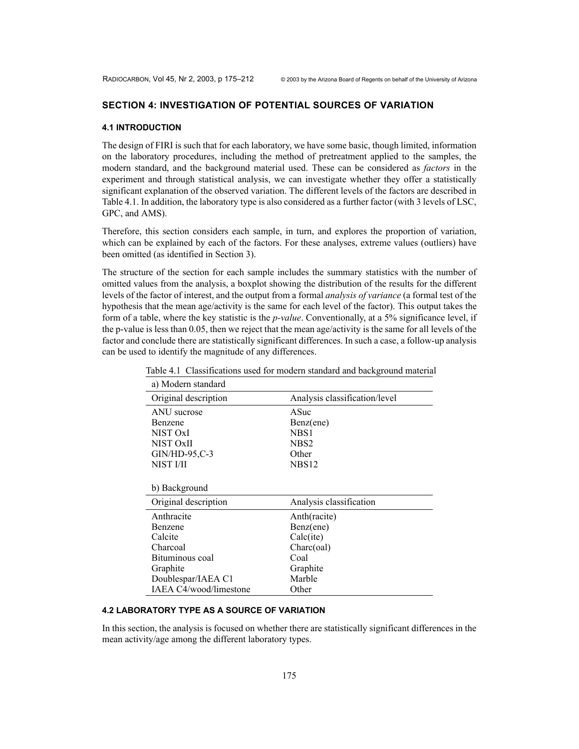#### **SECTION 4: INVESTIGATION OF POTENTIAL SOURCES OF VARIATION**

#### **4.1 INTRODUCTION**

The design of FIRI is such that for each laboratory, we have some basic, though limited, information on the laboratory procedures, including the method of pretreatment applied to the samples, the modern standard, and the background material used. These can be considered as *factors* in the experiment and through statistical analysis, we can investigate whether they offer a statistically significant explanation of the observed variation. The different levels of the factors are described in Table 4.1. In addition, the laboratory type is also considered as a further factor (with 3 levels of LSC, GPC, and AMS).

Therefore, this section considers each sample, in turn, and explores the proportion of variation, which can be explained by each of the factors. For these analyses, extreme values (outliers) have been omitted (as identified in Section 3).

The structure of the section for each sample includes the summary statistics with the number of omitted values from the analysis, a boxplot showing the distribution of the results for the different levels of the factor of interest, and the output from a formal *analysis of variance* (a formal test of the hypothesis that the mean age/activity is the same for each level of the factor). This output takes the form of a table, where the key statistic is the *p-value*. Conventionally, at a 5% significance level, if the p-value is less than 0.05, then we reject that the mean age/activity is the same for all levels of the factor and conclude there are statistically significant differences. In such a case, a follow-up analysis can be used to identify the magnitude of any differences.

| a) Modern standard     |                               |
|------------------------|-------------------------------|
| Original description   | Analysis classification/level |
| ANU sucrose            | ASuc                          |
| Benzene                | Benz(ene)                     |
| NIST OxI               | NBS1                          |
| NIST OxII              | NBS <sub>2</sub>              |
| $GIN/HD-95,C-3$        | Other                         |
| NIST I/II              | NBS <sub>12</sub>             |
|                        |                               |
| b) Background          |                               |
| Original description   | Analysis classification       |
| Anthracite             | Anth(racite)                  |
| Benzene                | Benz(ene)                     |
| Calcite                | Calc(ite)                     |
| Charcoal               | Charc(oal)                    |
| Bituminous coal        | Coal                          |
| Graphite               | Graphite                      |
| Doublespar/IAEA C1     | Marble                        |
| IAEA C4/wood/limestone | Other                         |

Table 4.1 Classifications used for modern standard and background material

## **4.2 LABORATORY TYPE AS A SOURCE OF VARIATION**

In this section, the analysis is focused on whether there are statistically significant differences in the mean activity/age among the different laboratory types.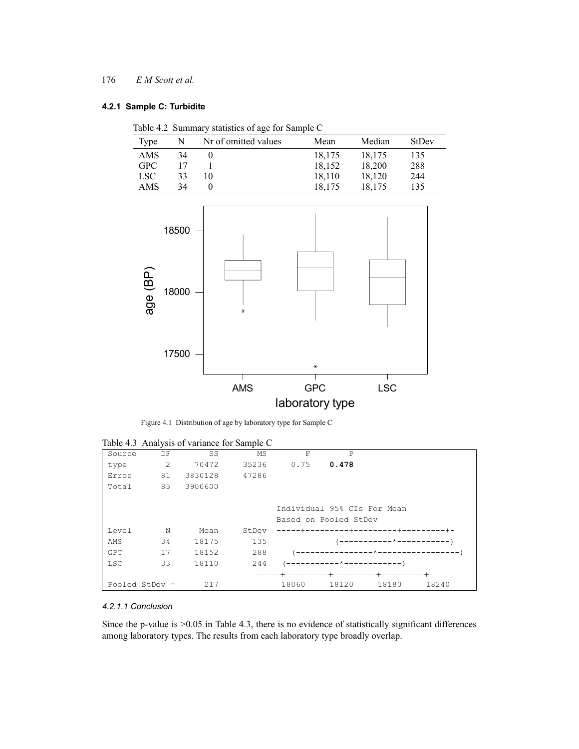# **4.2.1 Sample C: Turbidite**

| Table 4.2 Summary statistics of age for Sample C |  |  |  |
|--------------------------------------------------|--|--|--|
|                                                  |  |  |  |

| Type       | N  | Nr of omitted values | Mean   | Median | <b>StDev</b> |
|------------|----|----------------------|--------|--------|--------------|
| AMS        | 34 |                      | 18,175 | 18,175 | 135          |
| <b>GPC</b> |    |                      | 18,152 | 18,200 | 288          |
| LSC        | 33 | 10                   | 18.110 | 18.120 | 244          |
| AMS        | 34 |                      | 18.175 | 18,175 | 135          |



Figure 4.1 Distribution of age by laboratory type for Sample C

|            |                  | $1000$ $1.5$ $1.000$ $1.000$ $0.000$ $0.000$ $0.000$ $0.000$ |       |          |                             |                                      |       |
|------------|------------------|--------------------------------------------------------------|-------|----------|-----------------------------|--------------------------------------|-------|
| Source     | DF               | SS                                                           | MS    | F        | P                           |                                      |       |
| type       | 2                | 70472                                                        | 35236 | 0.75     | 0.478                       |                                      |       |
| Error      | 81               | 3830128                                                      | 47286 |          |                             |                                      |       |
| Total      | 83               | 3900600                                                      |       |          |                             |                                      |       |
|            |                  |                                                              |       |          | Individual 95% CIs For Mean |                                      |       |
|            |                  |                                                              |       |          | Based on Pooled StDev       |                                      |       |
| Level      | N                | Mean                                                         | StDev | -----+-- |                             |                                      |       |
| AMS        | 34               | 18175                                                        | 135   |          |                             | -----------*----------- <sup>-</sup> |       |
| GPC        | 17               | 18152                                                        | 288   |          |                             | ---------------*------------------   |       |
| <b>LSC</b> | 33               | 18110                                                        | 244   |          | ---------*-------------     |                                      |       |
|            |                  |                                                              |       |          | -+-                         | $-+-$                                |       |
|            | Pooled StDev $=$ | 217                                                          |       | 18060    | 18120                       | 18180                                | 18240 |

Table 4.3 Analysis of variance for Sample C

## *4.2.1.1 Conclusion*

Since the p-value is >0.05 in Table 4.3, there is no evidence of statistically significant differences among laboratory types. The results from each laboratory type broadly overlap.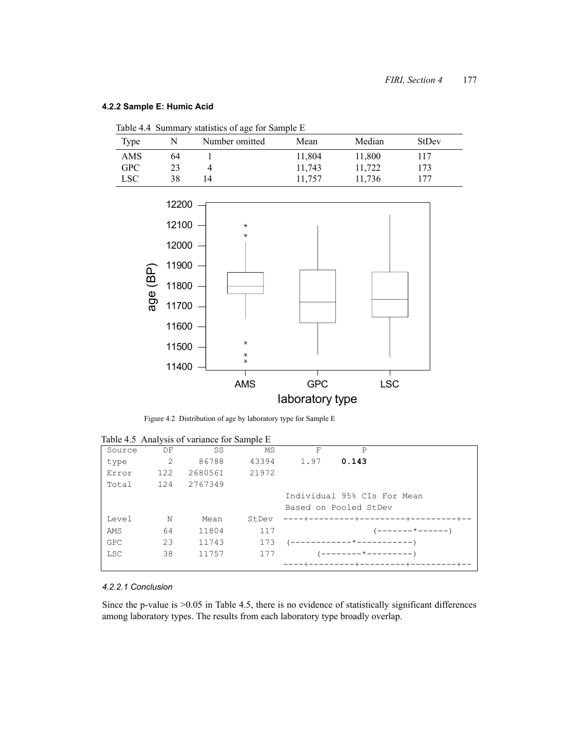# **4.2.2 Sample E: Humic Acid**

| Table 4.4 Summary statistics of age for Sample E |  |  |  |
|--------------------------------------------------|--|--|--|
|                                                  |  |  |  |

| Type       |    | Number omitted | Mean   | Median | <b>StDev</b> |
|------------|----|----------------|--------|--------|--------------|
| AMS        | 64 |                | 11,804 | 11,800 | 117          |
| <b>GPC</b> |    |                | 11,743 | 11,722 | 173          |
| LSC        | 38 | 4              | 11,757 | 11,736 | 177          |



Figure 4.2 Distribution of age by laboratory type for Sample E

| Table 4.5 Analysis of variance for Sample E |  |
|---------------------------------------------|--|
|---------------------------------------------|--|

| Source     | DF  | SS      | MS    | F    | P                           |                                     |
|------------|-----|---------|-------|------|-----------------------------|-------------------------------------|
| type       | 2   | 86788   | 43394 | 1.97 | 0.143                       |                                     |
| Error      | 122 | 2680561 | 21972 |      |                             |                                     |
| Total      | 124 | 2767349 |       |      |                             |                                     |
|            |     |         |       |      | Individual 95% CIs For Mean |                                     |
|            |     |         |       |      | Based on Pooled StDev       |                                     |
| Level      | N   | Mean    | StDev |      |                             | ----+---------+---------+--------+- |
| AMS        | 64  | 11804   | 117   |      |                             | '-------*------'                    |
| GPC        | 23  | 11743   | 173   |      | (------------*------------  |                                     |
| <b>LSC</b> | 38  | 11757   | 177   |      | $------+--+------)$         |                                     |
|            |     |         |       |      |                             |                                     |

## *4.2.2.1 Conclusion*

Since the p-value is  $>0.05$  in Table 4.5, there is no evidence of statistically significant differences among laboratory types. The results from each laboratory type broadly overlap.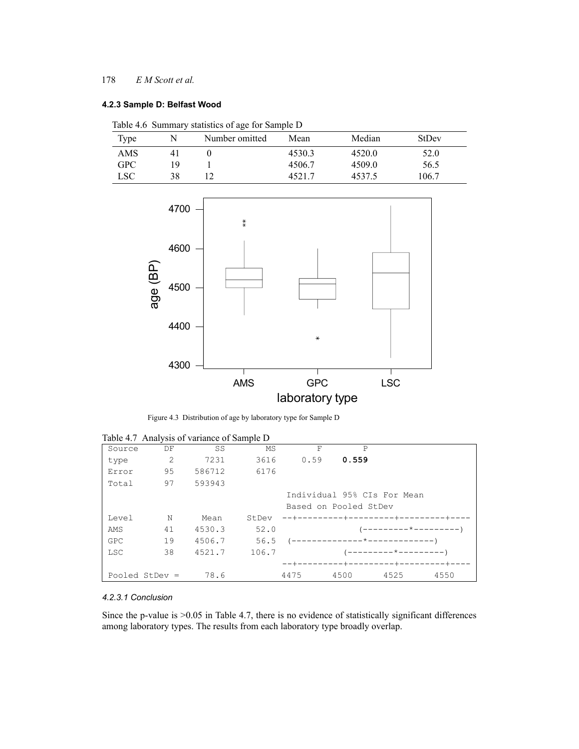#### **4.2.3 Sample D: Belfast Wood**

| Table 4.6 Summary statistics of age for Sample D |    |                |        |        |              |  |  |  |  |  |  |
|--------------------------------------------------|----|----------------|--------|--------|--------------|--|--|--|--|--|--|
| Type                                             |    | Number omitted | Mean   | Median | <b>StDev</b> |  |  |  |  |  |  |
| AMS                                              |    |                | 4530.3 | 4520.0 | 52.0         |  |  |  |  |  |  |
| <b>GPC</b>                                       | 19 |                | 4506.7 | 4509.0 | 56.5         |  |  |  |  |  |  |
| <b>LSC</b>                                       | 38 |                | 45217  | 4537.5 | 106.7        |  |  |  |  |  |  |



Figure 4.3 Distribution of age by laboratory type for Sample D

|            |                  | Table 4.7 Analysis of variance of Sample D |       |      |   |                       |                                   |           |
|------------|------------------|--------------------------------------------|-------|------|---|-----------------------|-----------------------------------|-----------|
| Source     | DF               | SS                                         | MS    |      | F | $\mathsf{P}$          |                                   |           |
| type       | 2                | 7231                                       | 3616  | 0.59 |   | 0.559                 |                                   |           |
| Error      | 95               | 586712                                     | 6176  |      |   |                       |                                   |           |
| Total      | 97               | 593943                                     |       |      |   |                       |                                   |           |
|            |                  |                                            |       |      |   |                       | Individual 95% CIs For Mean       |           |
|            |                  |                                            |       |      |   | Based on Pooled StDev |                                   |           |
| Level      | N                | Mean                                       | StDev |      |   |                       | --+---------+---------+--------+- |           |
| AMS        | 41               | 4530.3                                     | 52.0  |      |   |                       | ---------*---------               |           |
| GPC        | 19               | 4506.7                                     | 56.5  |      |   |                       |                                   |           |
| <b>LSC</b> | 38               | 4521.7                                     | 106.7 |      |   |                       | --------*----------               |           |
|            |                  |                                            |       |      |   | -------+---------+-   |                                   | --------+ |
|            | Pooled StDev $=$ | 78.6                                       |       | 4475 |   | 4500                  | 4525                              | 4550      |

# Table 4.7 Analysis of variance of Sample D

#### *4.2.3.1 Conclusion*

Since the p-value is >0.05 in Table 4.7, there is no evidence of statistically significant differences among laboratory types. The results from each laboratory type broadly overlap.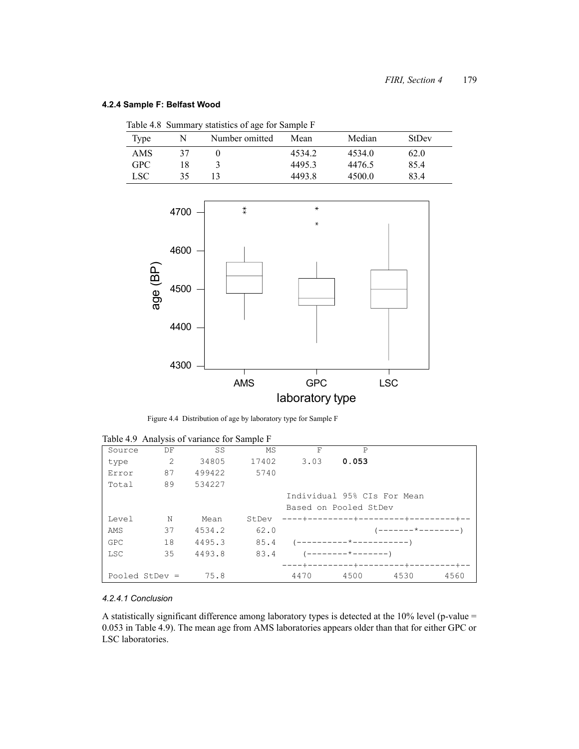# **4.2.4 Sample F: Belfast Wood**

| Table 4.8 Summary statistics of age for Sample F |    |                |        |        |       |  |  |  |  |  |
|--------------------------------------------------|----|----------------|--------|--------|-------|--|--|--|--|--|
| Type                                             | N  | Number omitted | Mean   | Median | StDev |  |  |  |  |  |
| AMS                                              |    |                | 4534.2 | 4534.0 | 62.0  |  |  |  |  |  |
| GPC.                                             | 18 |                | 4495.3 | 4476.5 | 85.4  |  |  |  |  |  |
| LSC.                                             | 35 |                | 4493.8 | 4500.0 | 834   |  |  |  |  |  |
|                                                  |    |                |        |        |       |  |  |  |  |  |



Figure 4.4 Distribution of age by laboratory type for Sample F

|                  |    | $1000$ $\sigma$ $1000$ $\sigma$ $1000$ $\sigma$ $1000$ $\sigma$ $1000$ $\sigma$ |       |                            |                         |                             |      |
|------------------|----|---------------------------------------------------------------------------------|-------|----------------------------|-------------------------|-----------------------------|------|
| Source           | DF | SS                                                                              | MS    | F                          | P                       |                             |      |
| type             | 2  | 34805                                                                           | 17402 | 3.03                       | 0.053                   |                             |      |
| Error            | 87 | 499422                                                                          | 5740  |                            |                         |                             |      |
| Total            | 89 | 534227                                                                          |       |                            |                         |                             |      |
|                  |    |                                                                                 |       |                            |                         | Individual 95% CIs For Mean |      |
|                  |    |                                                                                 |       | Based on Pooled StDev      |                         |                             |      |
| Level            | N  | Mean                                                                            | StDev | ----+---------+--------+-  |                         |                             |      |
| AMS              | 37 | 4534.2                                                                          | 62.0  |                            |                         | ------*--------             |      |
| GPC              | 18 | 4495.3                                                                          | 85.4  |                            | ----------*------------ |                             |      |
| <b>LSC</b>       | 35 | 4493.8                                                                          | 83.4  |                            | --------*--------       |                             |      |
|                  |    |                                                                                 |       | ----+---------+---------+- |                         |                             |      |
| Pooled StDev $=$ |    | 75.8                                                                            |       | 4470                       | 4500                    | 4530                        | 4560 |

|  | Table 4.9 Analysis of variance for Sample F |  |  |
|--|---------------------------------------------|--|--|

# *4.2.4.1 Conclusion*

A statistically significant difference among laboratory types is detected at the 10% level (p-value = 0.053 in Table 4.9). The mean age from AMS laboratories appears older than that for either GPC or LSC laboratories.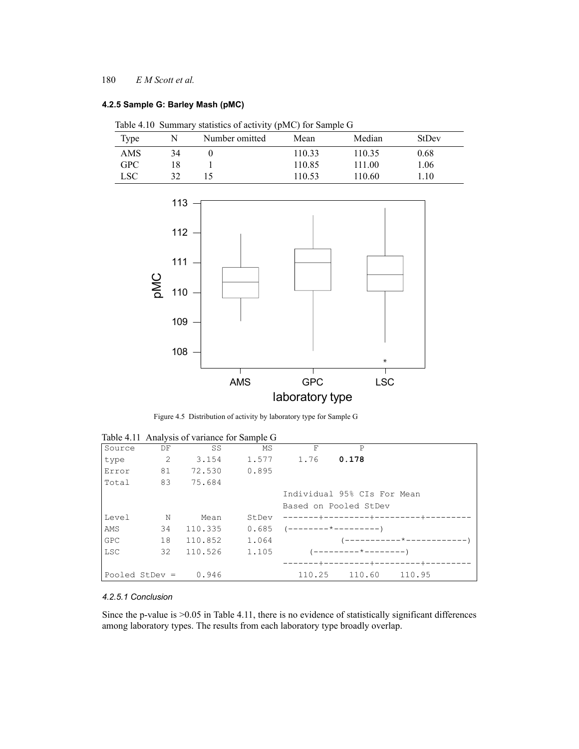## **4.2.5 Sample G: Barley Mash (pMC)**

|            |    | Table 4.10 Summary statistics of activity (pMC) for Sample G |        |        |              |
|------------|----|--------------------------------------------------------------|--------|--------|--------------|
| Type       |    | Number omitted                                               | Mean   | Median | <b>StDev</b> |
| <b>AMS</b> | 34 |                                                              | 110.33 | 110.35 | 0.68         |
| <b>GPC</b> |    |                                                              | 110.85 | 111.00 | 1.06         |
| <b>LSC</b> | 37 |                                                              | 110.53 | 110.60 | 110          |



Figure 4.5 Distribution of activity by laboratory type for Sample G

|                  |    |         | Table 4.11 Analysis of variance for Sample G |        |                              |            |  |
|------------------|----|---------|----------------------------------------------|--------|------------------------------|------------|--|
| Source           | DF | SS      | MS                                           | F      | P                            |            |  |
| type             | 2  | 3.154   | 1.577                                        | 1.76   | 0.178                        |            |  |
| Error            | 81 | 72.530  | 0.895                                        |        |                              |            |  |
| Total            | 83 | 75.684  |                                              |        |                              |            |  |
|                  |    |         |                                              |        | Individual 95% CIs For Mean  |            |  |
|                  |    |         |                                              |        | Based on Pooled StDev        |            |  |
| Level            | N  | Mean    | StDev                                        |        | -------+--------+-           | --------+- |  |
| AMS              | 34 | 110.335 | 0.685                                        |        |                              |            |  |
| <b>GPC</b>       | 18 | 110.852 | 1.064                                        |        |                              |            |  |
| <b>LSC</b>       | 32 | 110.526 | 1.105                                        |        | $------+---+------$          |            |  |
|                  |    |         |                                              |        | ------+---------+--------+-- |            |  |
| Pooled StDev $=$ |    | 0.946   |                                              | 110.25 | 110.60                       | 110.95     |  |

Table 4.11 Analysis of variance for Sample G

# *4.2.5.1 Conclusion*

Since the p-value is >0.05 in Table 4.11, there is no evidence of statistically significant differences among laboratory types. The results from each laboratory type broadly overlap.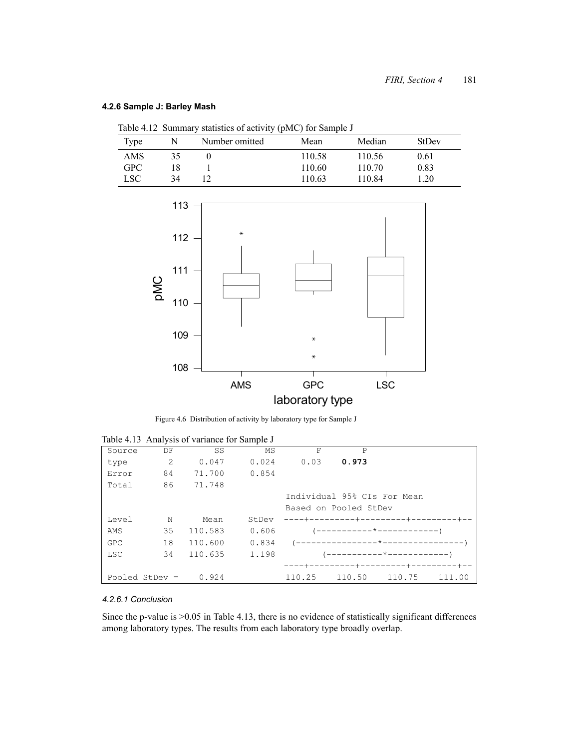### **4.2.6 Sample J: Barley Mash**

|  |  |  |  |  | Table 4.12 Summary statistics of activity (pMC) for Sample J |  |
|--|--|--|--|--|--------------------------------------------------------------|--|
|--|--|--|--|--|--------------------------------------------------------------|--|

| Type       | N  | <u>.</u><br>Number omitted | Mean   | Median | <b>StDev</b> |
|------------|----|----------------------------|--------|--------|--------------|
| AMS        | 35 |                            | 110.58 | 110.56 | 0.61         |
| <b>GPC</b> |    |                            | 110.60 | 110.70 | 0.83         |
| LSC        | 34 |                            | 110.63 | 110.84 | l.20         |



Figure 4.6 Distribution of activity by laboratory type for Sample J

| Source     | DF               | SS      | MS    | F      | P                           |                                      |        |
|------------|------------------|---------|-------|--------|-----------------------------|--------------------------------------|--------|
| type       | 2                | 0.047   | 0.024 | 0.03   | 0.973                       |                                      |        |
| Error      | 84               | 71.700  | 0.854 |        |                             |                                      |        |
| Total      | 86               | 71.748  |       |        |                             |                                      |        |
|            |                  |         |       |        | Individual 95% CIs For Mean |                                      |        |
|            |                  |         |       |        | Based on Pooled StDev       |                                      |        |
| Level      | N                | Mean    | StDev |        |                             | ----+---------+----------+-------+-- |        |
| AMS        | 35               | 110.583 | 0.606 |        |                             | (-----------*------------)           |        |
| <b>GPC</b> | 18               | 110.600 | 0.834 |        |                             |                                      |        |
| <b>LSC</b> | 34               | 110.635 | 1.198 |        |                             | (-----------*-------------)          |        |
|            |                  |         |       |        | -----+--------+-            |                                      |        |
|            | Pooled StDev $=$ | 0.924   |       | 110.25 | 110.50                      | 110.75                               | 111.00 |

Table 4.13 Analysis of variance for Sample J

# *4.2.6.1 Conclusion*

Since the p-value is >0.05 in Table 4.13, there is no evidence of statistically significant differences among laboratory types. The results from each laboratory type broadly overlap.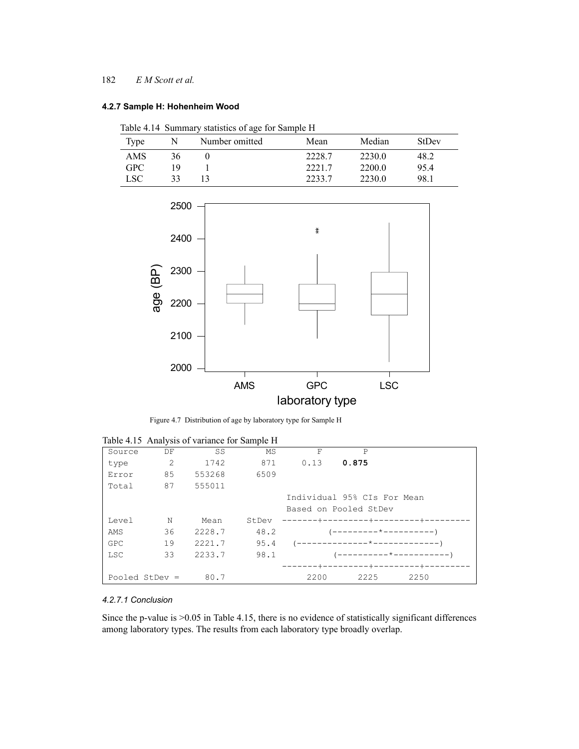#### **4.2.7 Sample H: Hohenheim Wood**

| Table 4.14 Summary statistics of age for Sample H |  |  |  |  |
|---------------------------------------------------|--|--|--|--|
|                                                   |  |  |  |  |

| Type       |     | Number omitted | Mean   | Median | StDev |
|------------|-----|----------------|--------|--------|-------|
| AMS        | 36  |                | 2228.7 | 2230.0 | 48.2  |
| <b>GPC</b> | 1 Q |                | 2221.7 | 2200.0 | 95.4  |
| LSC        | 33  |                | 2233.7 | 2230.0 | 98.1  |



Figure 4.7 Distribution of age by laboratory type for Sample H

|            |                  | Tuble 1.15 Thinkly 515 OF Variance for Bample II |       |      |                               |      |
|------------|------------------|--------------------------------------------------|-------|------|-------------------------------|------|
| Source     | DF               | SS                                               | MS    | F    | P                             |      |
| type       | 2                | 1742                                             | 871   | 0.13 | 0.875                         |      |
| Error      | 85               | 553268                                           | 6509  |      |                               |      |
| Total      | 87               | 555011                                           |       |      |                               |      |
|            |                  |                                                  |       |      | Individual 95% CIs For Mean   |      |
|            |                  |                                                  |       |      | Based on Pooled StDev         |      |
| Level      | N                | Mean                                             | StDev |      | -----+---------+--------+-    |      |
| AMS        | 36               | 2228.7                                           | 48.2  |      | ---------*----------          |      |
| <b>GPC</b> | 19               | 2221.7                                           | 95.4  |      | ---------------*------------- |      |
| LSC        | 33               | 2233.7                                           | 98.1  |      | ---------*-----------         |      |
|            |                  |                                                  |       |      | --------+--------+-           |      |
|            | Pooled StDev $=$ | 80.7                                             |       | 2200 | 2225                          | 2250 |

|  |  | Table 4.15 Analysis of variance for Sample H |  |  |  |
|--|--|----------------------------------------------|--|--|--|
|--|--|----------------------------------------------|--|--|--|

# *4.2.7.1 Conclusion*

Since the p-value is  $>0.05$  in Table 4.15, there is no evidence of statistically significant differences among laboratory types. The results from each laboratory type broadly overlap.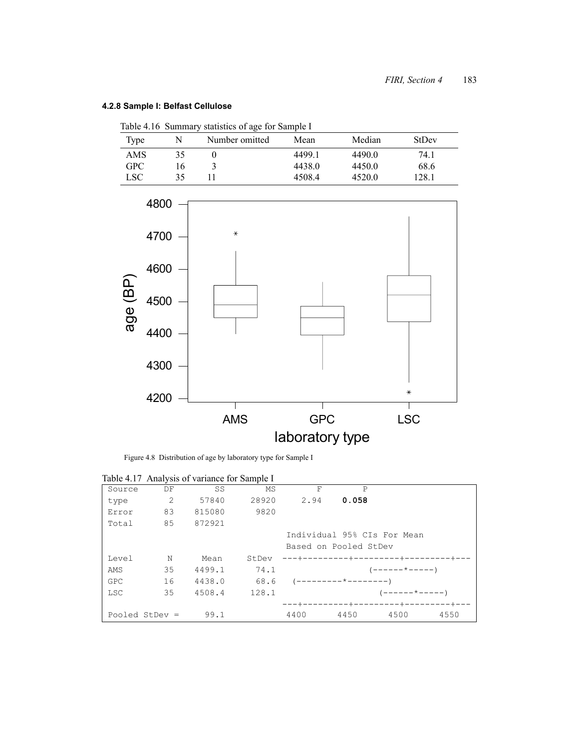# **4.2.8 Sample I: Belfast Cellulose**

|                  |    | Table 4.16 Summary statistics of age for Sample I |        |        |              |
|------------------|----|---------------------------------------------------|--------|--------|--------------|
| Type             | N  | Number omitted                                    | Mean   | Median | <b>StDev</b> |
| AMS              | 35 |                                                   | 44991  | 4490.0 | 74.1         |
| <b>GPC</b>       | 16 |                                                   | 4438.0 | 4450.0 | 68.6         |
| LSC <sup>.</sup> | 35 |                                                   | 4508.4 | 4520.0 | 128.1        |
|                  |    |                                                   |        |        |              |



Figure 4.8 Distribution of age by laboratory type for Sample I

|                  |    | Table 4.17 Analysis of variance for Sample 1 |       |      |                       |                                  |      |  |
|------------------|----|----------------------------------------------|-------|------|-----------------------|----------------------------------|------|--|
| Source           | DF | SS                                           | MS    | F    | P                     |                                  |      |  |
| type             | 2  | 57840                                        | 28920 | 2.94 | 0.058                 |                                  |      |  |
| Error            | 83 | 815080                                       | 9820  |      |                       |                                  |      |  |
| Total            | 85 | 872921                                       |       |      |                       |                                  |      |  |
|                  |    |                                              |       |      |                       | Individual 95% CIs For Mean      |      |  |
|                  |    |                                              |       |      | Based on Pooled StDev |                                  |      |  |
| Level            | N  | Mean                                         | StDev |      |                       | ---+---------+------------------ |      |  |
| AMS              | 35 | 4499.1                                       | 74.1  |      |                       | ( — — — — — * — — — — — )        |      |  |
| <b>GPC</b>       | 16 | 4438.0                                       | 68.6  |      | '---------*--------)  |                                  |      |  |
| <b>LSC</b>       | 35 | 4508.4                                       | 128.1 |      |                       | $-----+---+---)$                 |      |  |
|                  |    |                                              |       |      |                       |                                  |      |  |
| Pooled StDev $=$ |    | 99.1                                         |       | 4400 | 4450                  | 4500                             | 4550 |  |

Table 4.17 Analysis of variance for Sample I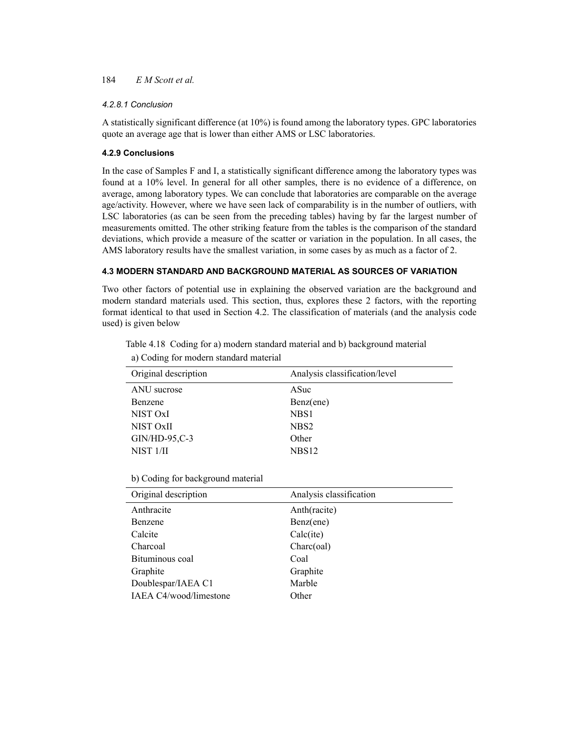#### *4.2.8.1 Conclusion*

A statistically significant difference (at 10%) is found among the laboratory types. GPC laboratories quote an average age that is lower than either AMS or LSC laboratories.

#### **4.2.9 Conclusions**

In the case of Samples F and I, a statistically significant difference among the laboratory types was found at a 10% level. In general for all other samples, there is no evidence of a difference, on average, among laboratory types. We can conclude that laboratories are comparable on the average age/activity. However, where we have seen lack of comparability is in the number of outliers, with LSC laboratories (as can be seen from the preceding tables) having by far the largest number of measurements omitted. The other striking feature from the tables is the comparison of the standard deviations, which provide a measure of the scatter or variation in the population. In all cases, the AMS laboratory results have the smallest variation, in some cases by as much as a factor of 2.

#### **4.3 MODERN STANDARD AND BACKGROUND MATERIAL AS SOURCES OF VARIATION**

Two other factors of potential use in explaining the observed variation are the background and modern standard materials used. This section, thus, explores these 2 factors, with the reporting format identical to that used in Section 4.2. The classification of materials (and the analysis code used) is given below

Table 4.18 Coding for a) modern standard material and b) background material

| Original description | Analysis classification/level |
|----------------------|-------------------------------|
| ANU sucrose          | ASuc                          |
| Benzene              | Benz(ene)                     |
| NIST OxI             | NBS1                          |
| NIST OxII            | NBS <sub>2</sub>              |
| $GIN/HD-95,C-3$      | Other                         |
| NIST <sub>1/II</sub> | NBS <sub>12</sub>             |

a) Coding for modern standard material

b) Coding for background material

| Original description   | Analysis classification |
|------------------------|-------------------------|
| Anthracite             | Anth(racite)            |
| Benzene                | Benz(ene)               |
| Calcite                | Calc(ite)               |
| Charcoal               | Charc(oal)              |
| Bituminous coal        | Coal                    |
| Graphite               | Graphite                |
| Doublespar/IAEA C1     | Marble                  |
| IAEA C4/wood/limestone | Other                   |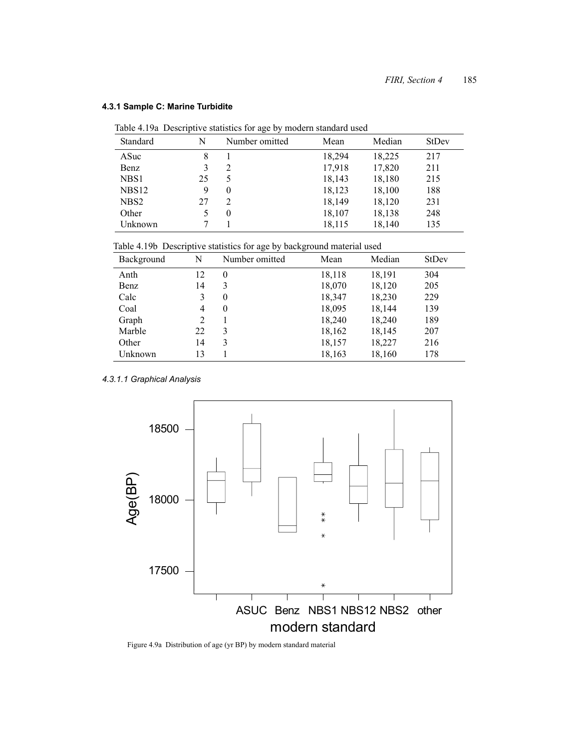|                   |    | Table 4.19a Descriptive statistics for age by modern standard used |        |        |              |
|-------------------|----|--------------------------------------------------------------------|--------|--------|--------------|
| Standard          | N  | Number omitted                                                     | Mean   | Median | <b>StDev</b> |
| ASuc              | 8  |                                                                    | 18,294 | 18,225 | 217          |
| Benz              |    | 2                                                                  | 17,918 | 17,820 | 211          |
| NBS1              | 25 | 5                                                                  | 18,143 | 18,180 | 215          |
| NBS <sub>12</sub> | 9  | $\theta$                                                           | 18,123 | 18,100 | 188          |
| NBS <sub>2</sub>  | 27 | 2                                                                  | 18.149 | 18,120 | 231          |
| Other             |    | $\theta$                                                           | 18,107 | 18,138 | 248          |
| Unknown           |    |                                                                    | 18,115 | 18,140 | 135          |
|                   |    |                                                                    |        |        |              |

#### **4.3.1 Sample C: Marine Turbidite**

Table 4.19a Descriptive statistics for age by modern standard used

| Table 4.19b Descriptive statistics for age by background material used |  |  |  |
|------------------------------------------------------------------------|--|--|--|
|                                                                        |  |  |  |

| Background | N  | Number omitted | Mean   | Median | <b>StDev</b> |
|------------|----|----------------|--------|--------|--------------|
| Anth       | 12 | $\theta$       | 18,118 | 18,191 | 304          |
| Benz       | 14 | 3              | 18,070 | 18,120 | 205          |
| Calc       |    | $\theta$       | 18,347 | 18,230 | 229          |
| Coal       | 4  | $\theta$       | 18,095 | 18,144 | 139          |
| Graph      | 2  |                | 18,240 | 18,240 | 189          |
| Marble     | 22 | 3              | 18,162 | 18,145 | 207          |
| Other      | 14 | 3              | 18,157 | 18,227 | 216          |
| Unknown    | 13 |                | 18,163 | 18,160 | 178          |

*4.3.1.1 Graphical Analysis*



Figure 4.9a Distribution of age (yr BP) by modern standard material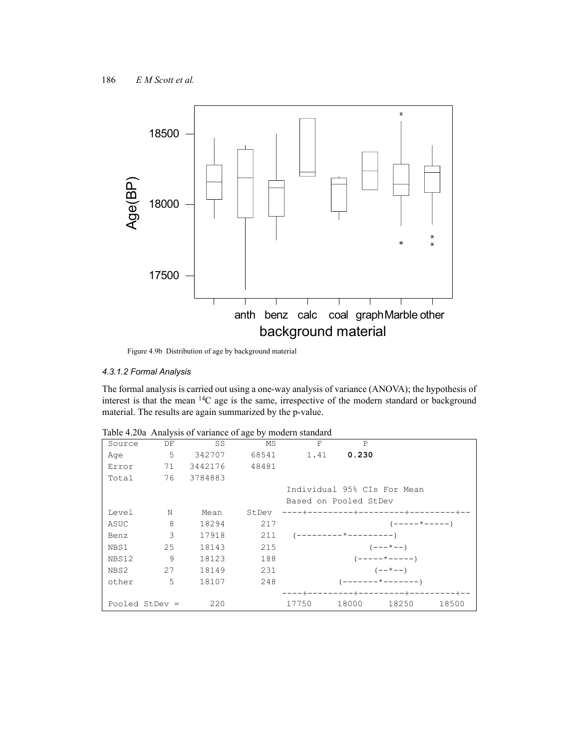

Figure 4.9b Distribution of age by background material

#### *4.3.1.2 Formal Analysis*

The formal analysis is carried out using a one-way analysis of variance (ANOVA); the hypothesis of interest is that the mean 14C age is the same, irrespective of the modern standard or background material. The results are again summarized by the p-value.

| Source | DF               | SS      | МS    | F     | P                           |                       |       |
|--------|------------------|---------|-------|-------|-----------------------------|-----------------------|-------|
| Age    | 5                | 342707  | 68541 | 1.41  | 0.230                       |                       |       |
| Error  | 71               | 3442176 | 48481 |       |                             |                       |       |
| Total  | 76               | 3784883 |       |       |                             |                       |       |
|        |                  |         |       |       | Individual 95% CIs For Mean |                       |       |
|        |                  |         |       |       | Based on Pooled StDev       |                       |       |
| Level  | N                | Mean    | StDev |       | ----+-                      |                       |       |
| ASUC   | 8                | 18294   | 217   |       |                             | $(----- + - - - - -)$ |       |
| Benz   | 3                | 17918   | 211   |       | '---------*---------)       |                       |       |
| NBS1   | 25               | 18143   | 215   |       |                             | $(- - - \times - -)$  |       |
| NBS12  | 9                | 18123   | 188   |       |                             | $(----+---)$          |       |
| NBS2   | 27               | 18149   | 231   |       |                             | $(- - * - -)$         |       |
| other  | 5                | 18107   | 248   |       |                             | $------+------$ )     |       |
|        |                  |         |       |       |                             |                       |       |
|        | Pooled StDev $=$ | 220     |       | 17750 | 18000                       | 18250                 | 18500 |

| Table 4.20a Analysis of variance of age by modern standard |  |  |  |  |  |  |
|------------------------------------------------------------|--|--|--|--|--|--|
|------------------------------------------------------------|--|--|--|--|--|--|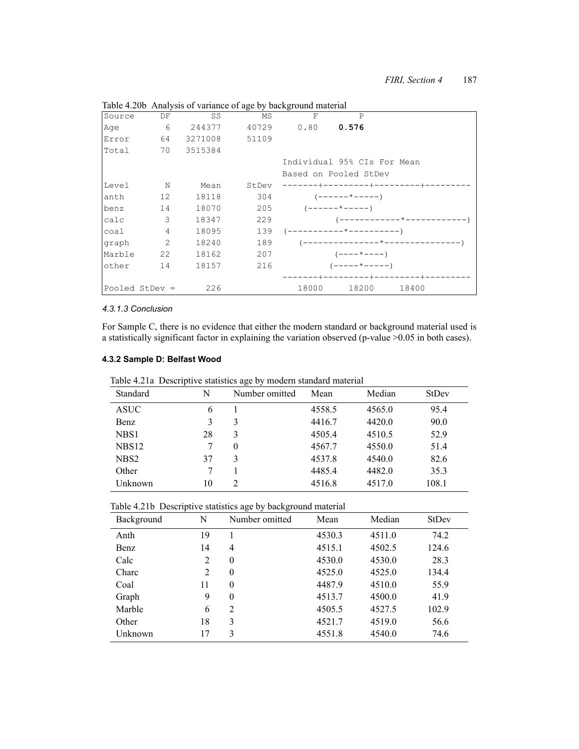| Source | DF              | SS      | MS    | $\rm F$ | $\mathsf{P}$                 |       |
|--------|-----------------|---------|-------|---------|------------------------------|-------|
| Aqe    | 6               | 244377  | 40729 | 0.80    | 0.576                        |       |
| Error  | 64              | 3271008 | 51109 |         |                              |       |
| Total  | 70              | 3515384 |       |         |                              |       |
|        |                 |         |       |         | Individual 95% CIs For Mean  |       |
|        |                 |         |       |         | Based on Pooled StDev        |       |
| Level  | $\mathbb N$     | Mean    | StDev |         | -------+---------+--------   |       |
| anth   | 12 <sup>°</sup> | 18118   | 304   |         | $(----+---+---)$             |       |
| benz   | 14              | 18070   | 205   |         |                              |       |
| calc   | 3               | 18347   | 229   |         |                              |       |
| coal   | $\overline{4}$  | 18095   | 139   |         |                              |       |
| graph  | $\overline{2}$  | 18240   | 189   |         | --------------*------------- |       |
| Marble | 22              | 18162   | 207   |         | $(----+---)$                 |       |
| other  | 14              | 18157   | 216   |         | $(----- + - - - - -)$        |       |
|        |                 |         |       |         |                              |       |
|        | Pooled StDev =  | 226     |       | 18000   | 18200                        | 18400 |

Table 4.20b Analysis of variance of age by background material

#### *4.3.1.3 Conclusion*

For Sample C, there is no evidence that either the modern standard or background material used is a statistically significant factor in explaining the variation observed (p-value >0.05 in both cases).

#### **4.3.2 Sample D: Belfast Wood**

| Table 4.21a Descriptive statistics age by modern standard material |  |
|--------------------------------------------------------------------|--|
|                                                                    |  |

| Standard          | N  | Number omitted              | Mean   | Median | StDev |
|-------------------|----|-----------------------------|--------|--------|-------|
| ASUC              | 6  |                             | 4558.5 | 4565.0 | 95.4  |
| Benz              | 3  | 3                           | 4416.7 | 4420.0 | 90.0  |
| NBS1              | 28 | 3                           | 4505.4 | 4510.5 | 52.9  |
| NBS <sub>12</sub> | 7  | $\theta$                    | 4567.7 | 4550.0 | 51.4  |
| NBS <sub>2</sub>  | 37 | 3                           | 4537.8 | 4540.0 | 82.6  |
| Other             |    |                             | 4485.4 | 4482.0 | 35.3  |
| Unknown           | 10 | $\mathcal{D}_{\mathcal{L}}$ | 4516.8 | 4517.0 | 108.1 |

Table 4.21b Descriptive statistics age by background material

| Background | N  | Number omitted | Mean   | Median | <b>StDev</b> |
|------------|----|----------------|--------|--------|--------------|
| Anth       | 19 |                | 4530.3 | 4511.0 | 74.2         |
| Benz       | 14 | $\overline{4}$ | 4515.1 | 4502.5 | 124.6        |
| Calc       | 2  | $\theta$       | 4530.0 | 4530.0 | 28.3         |
| Charc      | 2  | $\theta$       | 4525.0 | 4525.0 | 134.4        |
| Coal       | 11 | $\theta$       | 4487.9 | 4510.0 | 55.9         |
| Graph      | 9  | $\theta$       | 4513.7 | 4500.0 | 41.9         |
| Marble     | 6  | 2              | 4505.5 | 4527.5 | 102.9        |
| Other      | 18 | 3              | 4521.7 | 4519.0 | 56.6         |
| Unknown    | 17 | 3              | 4551.8 | 4540.0 | 74.6         |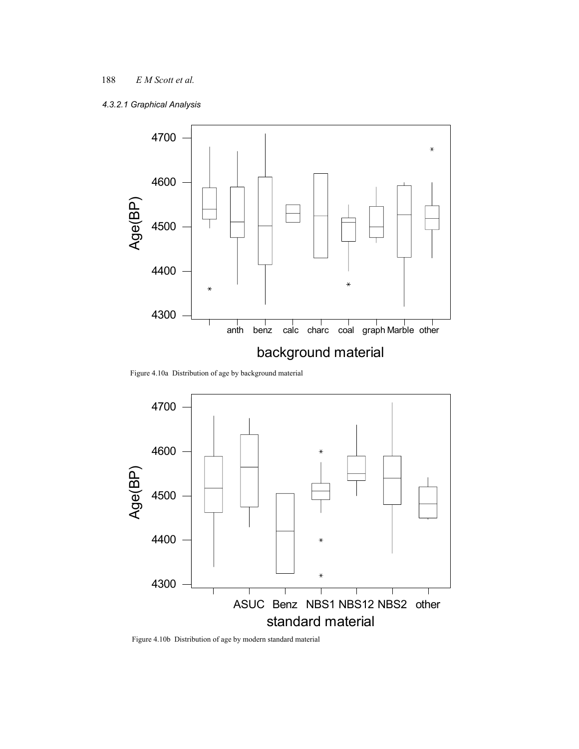# *4.3.2.1 Graphical Analysis*



Figure 4.10a Distribution of age by background material



Figure 4.10b Distribution of age by modern standard material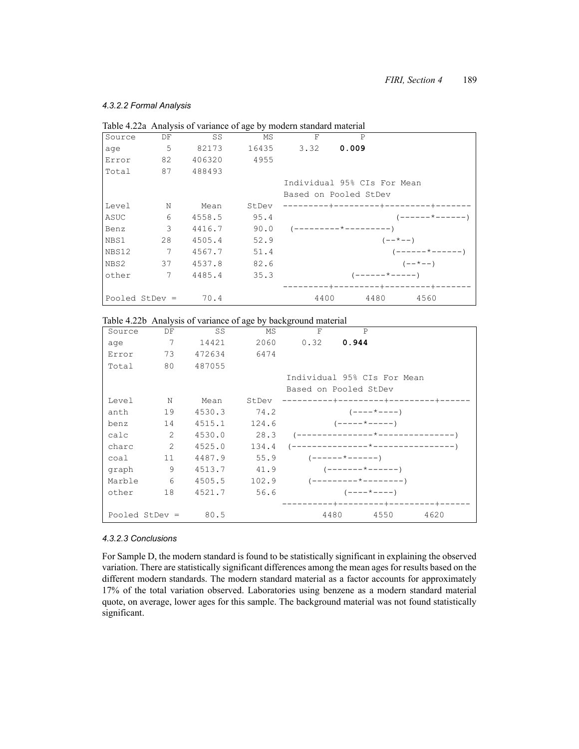#### *4.3.2.2 Formal Analysis*

|                  |    |        |       | Table 4.22a Analysis of variance of age by modern standard material |                                 |                          |
|------------------|----|--------|-------|---------------------------------------------------------------------|---------------------------------|--------------------------|
| Source           | DF | SS     | MS    | F                                                                   | P                               |                          |
| age              | 5  | 82173  | 16435 | 3.32                                                                | 0.009                           |                          |
| Error            | 82 | 406320 | 4955  |                                                                     |                                 |                          |
| Total            | 87 | 488493 |       |                                                                     |                                 |                          |
|                  |    |        |       |                                                                     | Individual 95% CIs For Mean     |                          |
|                  |    |        |       |                                                                     | Based on Pooled StDev           |                          |
| Level            | N  | Mean   | StDev |                                                                     |                                 |                          |
| ASUC             | 6  | 4558.5 | 95.4  |                                                                     |                                 | $(----- +-----$          |
| Benz             | 3  | 4416.7 | 90.0  |                                                                     |                                 |                          |
| NBS1             | 28 | 4505.4 | 52.9  |                                                                     | $(- - * - -)$                   |                          |
| NBS12            | 7  | 4567.7 | 51.4  |                                                                     |                                 | $(----- + ---- - - - -)$ |
| NBS2             | 37 | 4537.8 | 82.6  |                                                                     | $(- - * - -)$                   |                          |
| other            | 7  | 4485.4 | 35.3  |                                                                     | $(-----+-----)$                 |                          |
|                  |    |        |       |                                                                     | ------+-------<br>-+---------+- |                          |
| Pooled StDev $=$ |    | 70.4   |       | 4400                                                                | 4560<br>4480                    |                          |

Table 4.22b Analysis of variance of age by background material

| Source           | DF | SS     | MS    | F                           | $\mathsf{P}$             |                                 |      |  |
|------------------|----|--------|-------|-----------------------------|--------------------------|---------------------------------|------|--|
| age              | 7  | 14421  | 2060  | 0.32                        | 0.944                    |                                 |      |  |
| Error            | 73 | 472634 | 6474  |                             |                          |                                 |      |  |
| Total            | 80 | 487055 |       |                             |                          |                                 |      |  |
|                  |    |        |       | Individual 95% CIs For Mean |                          |                                 |      |  |
|                  |    |        |       | Based on Pooled StDev       |                          |                                 |      |  |
| Level            | N  | Mean   | StDev |                             |                          |                                 |      |  |
| anth             | 19 | 4530.3 | 74.2  |                             |                          | $(----+---)$                    |      |  |
| benz             | 14 | 4515.1 | 124.6 |                             | $(----+---)$             |                                 |      |  |
| calc             | 2  | 4530.0 | 28.3  |                             |                          | --------------*---------------  |      |  |
| charc            | 2  | 4525.0 | 134.4 |                             |                          | --------------*---------------- |      |  |
| coal             | 11 | 4487.9 | 55.9  |                             | $(----- + ---- - - - -)$ |                                 |      |  |
| graph            | 9  | 4513.7 | 41.9  |                             | $(----- + ---- + ----)$  |                                 |      |  |
| Marble           | 6  | 4505.5 | 102.9 |                             |                          |                                 |      |  |
| other            | 18 | 4521.7 | 56.6  |                             | $(----+---)$             |                                 |      |  |
|                  |    |        |       |                             |                          | ------+---------+--------+      |      |  |
| Pooled StDev $=$ |    | 80.5   |       | 4480                        |                          | 4550                            | 4620 |  |

#### *4.3.2.3 Conclusions*

For Sample D, the modern standard is found to be statistically significant in explaining the observed variation. There are statistically significant differences among the mean ages for results based on the different modern standards. The modern standard material as a factor accounts for approximately 17% of the total variation observed. Laboratories using benzene as a modern standard material quote, on average, lower ages for this sample. The background material was not found statistically significant.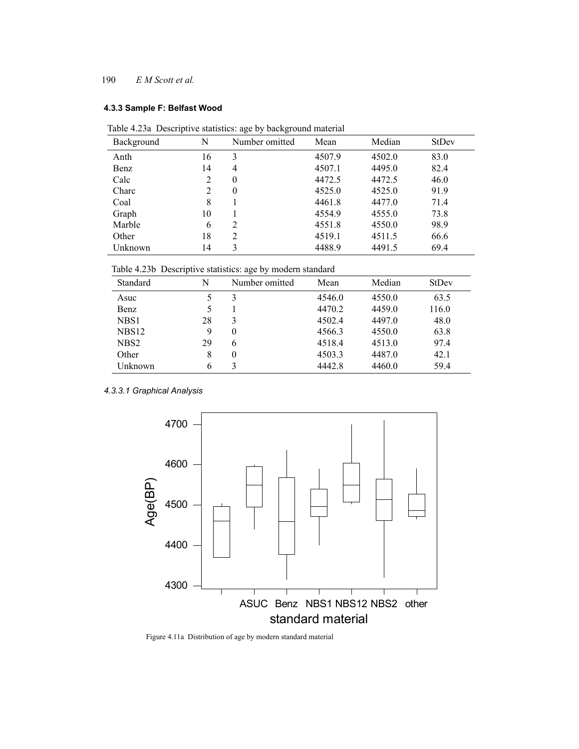#### **4.3.3 Sample F: Belfast Wood**

| Table 4.23a Descriptive statistics: age by background material |  |  |  |
|----------------------------------------------------------------|--|--|--|
|                                                                |  |  |  |

| Background | N              | Number omitted | Mean   | Median | <b>StDev</b> |
|------------|----------------|----------------|--------|--------|--------------|
| Anth       | 16             | 3              | 4507.9 | 4502.0 | 83.0         |
| Benz       | 14             | 4              | 4507.1 | 4495.0 | 82.4         |
| Calc       | $\overline{2}$ | $\theta$       | 4472.5 | 4472.5 | 46.0         |
| Charc      | $\overline{2}$ | $\theta$       | 4525.0 | 4525.0 | 91.9         |
| Coal       | 8              |                | 4461.8 | 4477.0 | 71.4         |
| Graph      | 10             |                | 4554.9 | 4555.0 | 73.8         |
| Marble     | 6              | 2              | 4551.8 | 4550.0 | 98.9         |
| Other      | 18             | $\overline{c}$ | 4519.1 | 4511.5 | 66.6         |
| Unknown    | 14             | 3              | 4488.9 | 4491.5 | 69.4         |

Table 4.23b Descriptive statistics: age by modern standard

|                   |    | ັ              |        |        |              |
|-------------------|----|----------------|--------|--------|--------------|
| Standard          | N  | Number omitted | Mean   | Median | <b>StDev</b> |
| Asuc              |    | 3              | 4546.0 | 4550.0 | 63.5         |
| Benz              |    |                | 4470.2 | 4459.0 | 116.0        |
| NBS1              | 28 | 3              | 4502.4 | 4497.0 | 48.0         |
| NBS <sub>12</sub> | 9  | $\theta$       | 4566.3 | 4550.0 | 63.8         |
| NBS <sub>2</sub>  | 29 | 6              | 4518.4 | 4513.0 | 97.4         |
| Other             | 8  | $\theta$       | 4503.3 | 4487.0 | 42.1         |
| Unknown           | 6  |                | 4442.8 | 4460.0 | 59.4         |

*4.3.3.1 Graphical Analysis*



Figure 4.11a Distribution of age by modern standard material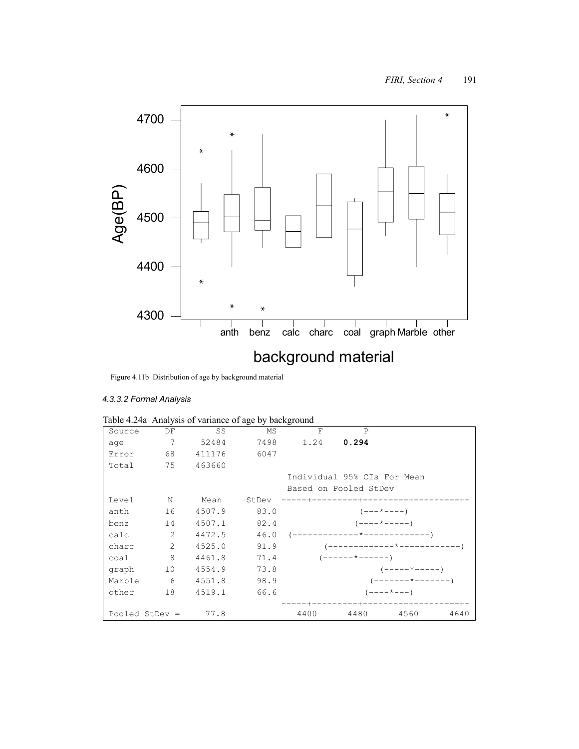

Figure 4.11b Distribution of age by background material

# *4.3.3.2 Formal Analysis*

| Source           | DF             | SS        | MS    | F    | $\mathsf{P}$                |                              |      |
|------------------|----------------|-----------|-------|------|-----------------------------|------------------------------|------|
| age              | 7              | 52484     | 7498  | 1.24 | 0.294                       |                              |      |
| Error            |                | 68 411176 | 6047  |      |                             |                              |      |
| Total            |                | 75 463660 |       |      |                             |                              |      |
|                  |                |           |       |      | Individual 95% CIs For Mean |                              |      |
|                  |                |           |       |      | Based on Pooled StDev       |                              |      |
| Level            | N              | Mean      | StDev |      |                             | -------+---------+--------+- |      |
| anth             | 16             | 4507.9    | 83.0  |      | $(- - - \times - - - -)$    |                              |      |
| benz             |                | 14 4507.1 | 82.4  |      | $(----+----)$               |                              |      |
| calc             | $\overline{2}$ | 4472.5    |       |      |                             |                              |      |
| charc            | 2              | 4525.0    | 91.9  |      |                             |                              |      |
| coal             | 8              | 4461.8    | 71.4  |      | $(----- +-----$             |                              |      |
| graph            | 10             | 4554.9    | 73.8  |      |                             | $(----+---)$                 |      |
| Marble           |                | 6 4551.8  | 98.9  |      |                             | $(------+------)$            |      |
| other            | 18             | 4519.1    | 66.6  |      |                             | $(----+---)$                 |      |
|                  |                |           |       |      |                             | --+---------+-               |      |
| Pooled StDev $=$ |                | 77.8      |       | 4400 | 4480                        | 4560                         | 4640 |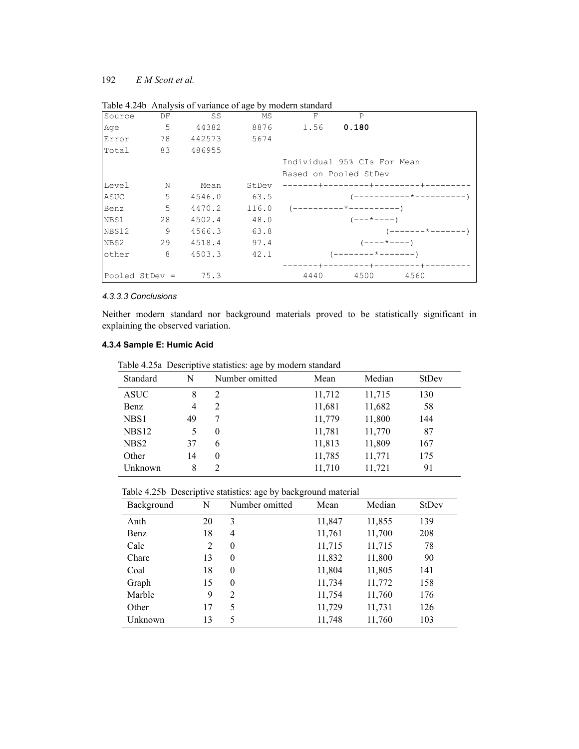| Source | DF               | SS     | MS    | $\mathbf F$                 | $\mathsf{P}$           |                         |
|--------|------------------|--------|-------|-----------------------------|------------------------|-------------------------|
| Age    | 5                | 44382  | 8876  | 1.56                        | 0.180                  |                         |
| Error  | 78               | 442573 | 5674  |                             |                        |                         |
| Total  | 83               | 486955 |       |                             |                        |                         |
|        |                  |        |       | Individual 95% CIs For Mean |                        |                         |
|        |                  |        |       | Based on Pooled StDev       |                        |                         |
| Level  | N                | Mean   | StDev |                             |                        |                         |
| ASUC   | 5                | 4546.0 | 63.5  |                             |                        | ------------*---------- |
| Benz   | 5                | 4470.2 | 116.0 |                             | (----------*---------- |                         |
| NBS1   | 28               | 4502.4 | 48.0  |                             | $(- - - * - - - -)$    |                         |
| NBS12  | 9                | 4566.3 | 63.8  |                             |                        | ( ------- * -------     |
| NBS2   | 29               | 4518.4 | 97.4  |                             |                        | $(----+---)$            |
| other  | 8                | 4503.3 | 42.1  |                             | '--------*---------    |                         |
|        |                  |        |       |                             |                        |                         |
|        | Pooled StDev $=$ | 75.3   |       | 4440                        | 4500                   | 4560                    |

Table 4.24b Analysis of variance of age by modern standard

# *4.3.3.3 Conclusions*

Neither modern standard nor background materials proved to be statistically significant in explaining the observed variation.

# **4.3.4 Sample E: Humic Acid**

Table 4.25a Descriptive statistics: age by modern standard

| Standard          | N  | Table 4.20a Descriptive statistics. age by modern standard<br>Number omitted | Mean   | Median | <b>StDev</b> |
|-------------------|----|------------------------------------------------------------------------------|--------|--------|--------------|
| <b>ASUC</b>       | 8  | 2                                                                            | 11,712 | 11,715 | 130          |
| Benz              | 4  | 2                                                                            | 11,681 | 11,682 | 58           |
| NBS1              | 49 |                                                                              | 11,779 | 11,800 | 144          |
| NBS <sub>12</sub> | 5  | $\theta$                                                                     | 11,781 | 11,770 | 87           |
| NBS <sub>2</sub>  | 37 | 6                                                                            | 11,813 | 11,809 | 167          |
| Other             | 14 | 0                                                                            | 11,785 | 11,771 | 175          |
| Unknown           | 8  | 2                                                                            | 11,710 | 11,721 | 91           |

|  |  | Table 4.25b Descriptive statistics: age by background material |
|--|--|----------------------------------------------------------------|
|  |  |                                                                |

| Background | N  | ັ<br>Number omitted | Mean   | Median | <b>StDev</b> |
|------------|----|---------------------|--------|--------|--------------|
| Anth       | 20 | 3                   | 11,847 | 11,855 | 139          |
| Benz       | 18 | 4                   | 11,761 | 11,700 | 208          |
| Calc       | 2  | $\theta$            | 11,715 | 11,715 | 78           |
| Charc      | 13 | $\theta$            | 11,832 | 11,800 | 90           |
| Coal       | 18 | $\theta$            | 11,804 | 11,805 | 141          |
| Graph      | 15 | $\theta$            | 11,734 | 11,772 | 158          |
| Marble     | 9  | $\overline{2}$      | 11,754 | 11,760 | 176          |
| Other      | 17 | 5                   | 11,729 | 11,731 | 126          |
| Unknown    | 13 | 5                   | 11,748 | 11,760 | 103          |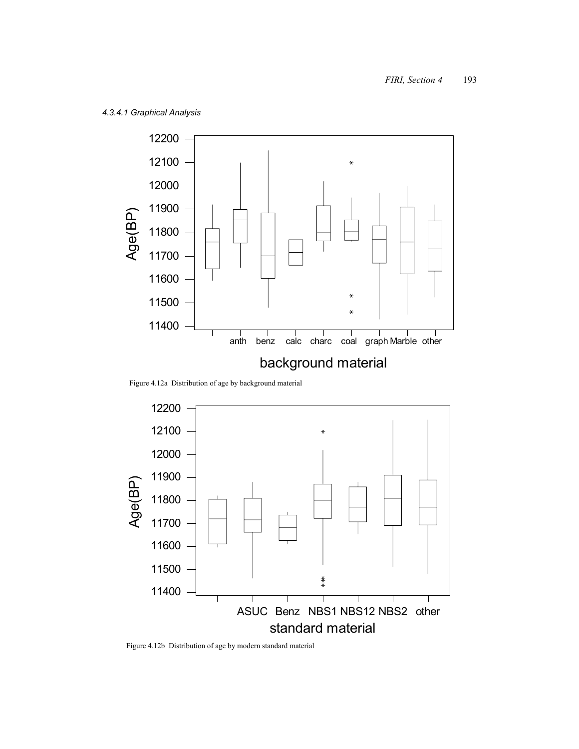

Figure 4.12a Distribution of age by background material



Figure 4.12b Distribution of age by modern standard material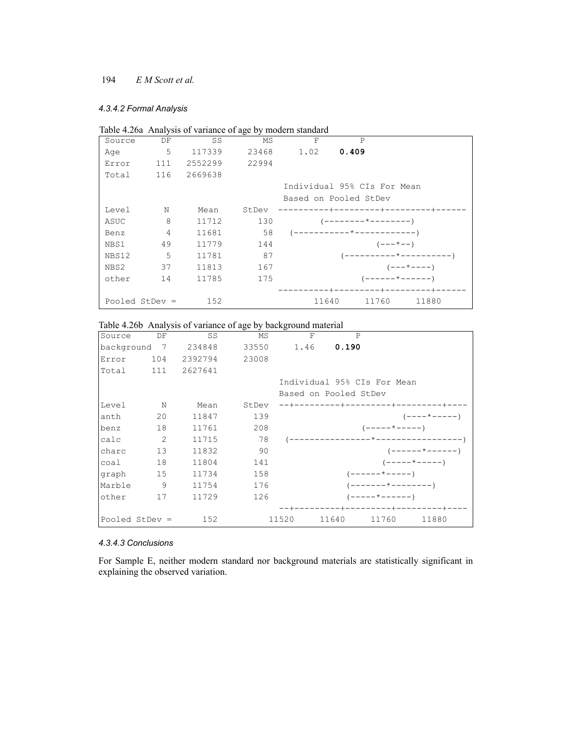#### *4.3.4.2 Formal Analysis*

|                  |                |         |       | Table 4.26a Analysis of variance of age by modern standard |                             |                     |
|------------------|----------------|---------|-------|------------------------------------------------------------|-----------------------------|---------------------|
| Source           | DF             | SS      | MS    | F                                                          | P                           |                     |
| Age              | 5              | 117339  | 23468 | 1.02                                                       | 0.409                       |                     |
| Error            | 111            | 2552299 | 22994 |                                                            |                             |                     |
| Total            | 116            | 2669638 |       |                                                            |                             |                     |
|                  |                |         |       |                                                            | Individual 95% CIs For Mean |                     |
|                  |                |         |       |                                                            | Based on Pooled StDev       |                     |
| Level            | N              | Mean    | StDev | --------                                                   | -------+--------+-<br>-+-   |                     |
| ASUC             | 8              | 11712   | 130   |                                                            |                             |                     |
| Benz             | $\overline{4}$ | 11681   | 58    |                                                            |                             |                     |
| NBS1             | 49             | 11779   | 144   |                                                            | $(- - - \times - -)$        |                     |
| NBS12            | 5              | 11781   | 87    |                                                            |                             |                     |
| NBS2             | 37             | 11813   | 167   |                                                            |                             | $(- - - * - - - -)$ |
| other            | 14             | 11785   | 175   |                                                            | $($ ------*------           |                     |
|                  |                |         |       |                                                            |                             |                     |
| Pooled StDev $=$ |                | 152     |       | 11640                                                      | 11760                       | 11880               |

# Table 4.26b Analysis of variance of age by background material

| Source | DF               | SS      | MS    | F                     | P             |                             |                                   |
|--------|------------------|---------|-------|-----------------------|---------------|-----------------------------|-----------------------------------|
|        | background 7     | 234848  | 33550 |                       | 1.46 0.190    |                             |                                   |
| Error  | 104              | 2392794 | 23008 |                       |               |                             |                                   |
| Total  | 111              | 2627641 |       |                       |               |                             |                                   |
|        |                  |         |       |                       |               | Individual 95% CIs For Mean |                                   |
|        |                  |         |       | Based on Pooled StDev |               |                             |                                   |
| Level  | $\mathbf N$      | Mean    | StDev |                       | $--------++-$ | --------+--------+-         |                                   |
| anth   | 20               | 11847   | 139   |                       |               |                             | $(-----+---- - -)$                |
| benz   | 18               | 11761   | 208   |                       |               | $(----+---)$                |                                   |
| calc   | $\overline{2}$   | 11715   | 78    |                       |               |                             |                                   |
| charc  | 13               | 11832   | 90    |                       |               |                             | $(----- + - - - - - - )$          |
| coal   | 18               | 11804   | 141   |                       |               |                             | $(----+---)$                      |
| graph  | 15               | 11734   | 158   |                       |               | $(----- + --- - )$          |                                   |
| Marble | 9                | 11754   | 176   |                       |               | $(-----+-----+-----)$       |                                   |
| other  | 17               | 11729   | 126   |                       |               | $(----- + - - - - - -)$     |                                   |
|        |                  |         |       |                       |               |                             | --------+---------+-------------- |
|        | Pooled StDev $=$ | 152     |       | 11520                 | 11640         | 11760                       | 11880                             |

## *4.3.4.3 Conclusions*

For Sample E, neither modern standard nor background materials are statistically significant in explaining the observed variation.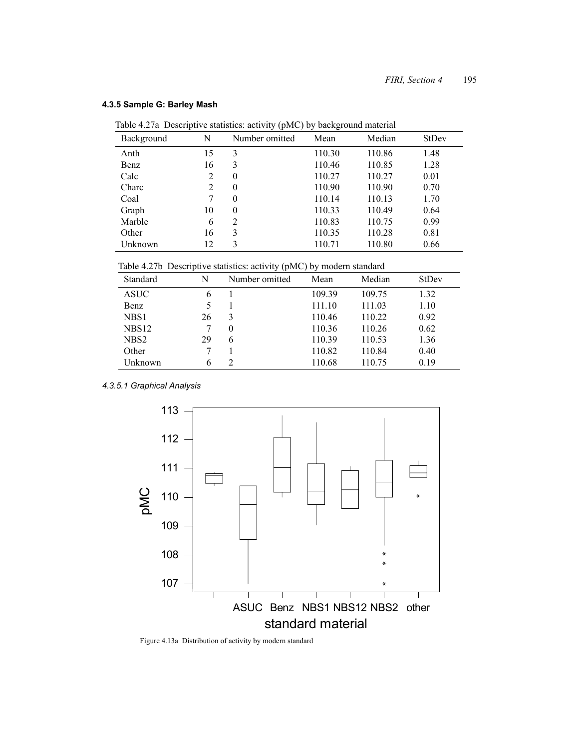| Table 4.27 Descriptive statistics: activity (pMC) by background material |    |                |        |        |       |  |  |  |
|--------------------------------------------------------------------------|----|----------------|--------|--------|-------|--|--|--|
| Background                                                               | N  | Number omitted | Mean   | Median | StDev |  |  |  |
| Anth                                                                     | 15 | 3              | 110.30 | 110.86 | 1.48  |  |  |  |
| Benz                                                                     | 16 | 3              | 110.46 | 110.85 | 1.28  |  |  |  |
| Calc                                                                     | 2  | $\theta$       | 110.27 | 110.27 | 0.01  |  |  |  |
| Charc                                                                    | 2  | $\theta$       | 110.90 | 110.90 | 0.70  |  |  |  |
| Coal                                                                     | 7  | $\Omega$       | 110.14 | 110.13 | 1.70  |  |  |  |
| Graph                                                                    | 10 | $\theta$       | 110.33 | 110.49 | 0.64  |  |  |  |
| Marble                                                                   | 6  | 2              | 110.83 | 110.75 | 0.99  |  |  |  |
| Other                                                                    | 16 | 3              | 110.35 | 110.28 | 0.81  |  |  |  |
| Unknown                                                                  | 12 | 3              | 110.71 | 110.80 | 0.66  |  |  |  |

#### **4.3.5 Sample G: Barley Mash**

Table 4.27a Descriptive statistics: activity (pMC) by background material

Table 4.27b Descriptive statistics: activity (pMC) by modern standard

| Standard          | N  | Number omitted | Mean   | Median | <b>StDev</b> |
|-------------------|----|----------------|--------|--------|--------------|
| ASUC              | 6  |                | 109.39 | 109.75 | 1.32         |
| Benz              | 5  |                | 111.10 | 111.03 | 1.10         |
| NBS1              | 26 | 3              | 110.46 | 110.22 | 0.92         |
| NBS <sub>12</sub> |    | 0              | 110.36 | 110.26 | 0.62         |
| NBS <sub>2</sub>  | 29 | 6              | 110.39 | 110.53 | 1.36         |
| Other             |    |                | 110.82 | 110.84 | 0.40         |
| Unknown           | 6  |                | 110.68 | 110.75 | 0.19         |

*4.3.5.1 Graphical Analysis*



Figure 4.13a Distribution of activity by modern standard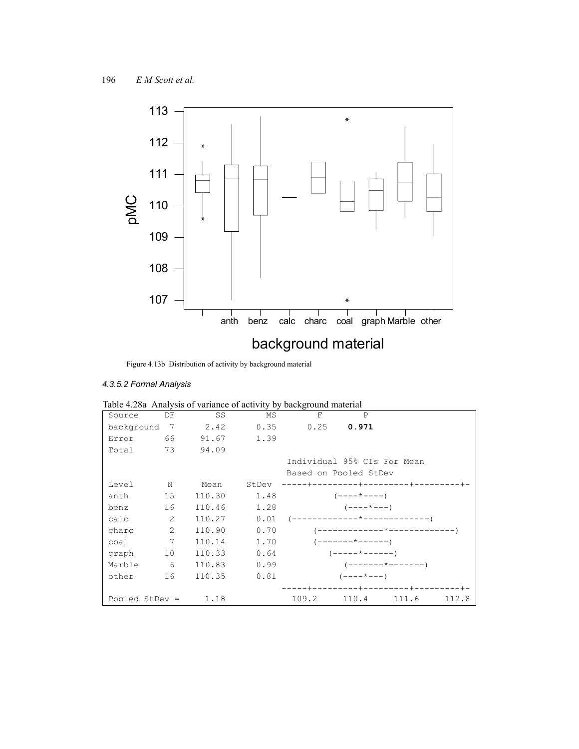

Figure 4.13b Distribution of activity by background material

# *4.3.5.2 Formal Analysis*

|                |                |        |            | Tuble $\pi$ .20a $\pi$ mary sis of variance of activity by background material |                            |       |       |
|----------------|----------------|--------|------------|--------------------------------------------------------------------------------|----------------------------|-------|-------|
| Source         | DF             | SS     | MS         | $\mathbf{F}$                                                                   | $\mathsf{P}$               |       |       |
| background 7   |                | 2.42   | 0.35       | $0.25$ 0.971                                                                   |                            |       |       |
| Error          | 66             |        | 91.67 1.39 |                                                                                |                            |       |       |
| Total          | 73             | 94.09  |            |                                                                                |                            |       |       |
|                |                |        |            | Individual 95% CIs For Mean                                                    |                            |       |       |
|                |                |        |            | Based on Pooled StDev                                                          |                            |       |       |
| Level          | N              | Mean   | StDev      | ------+---------+---------+-------+-                                           |                            |       |       |
| anth           | 15             | 110.30 | 1.48       |                                                                                | $(----+---)$               |       |       |
| benz           | 16             | 110.46 | 1.28       |                                                                                | $(- - - - \times - - -)$   |       |       |
| calc           | $\overline{2}$ | 110.27 |            |                                                                                |                            |       |       |
| charc          | $\mathcal{L}$  | 110.90 | 0.70       |                                                                                |                            |       |       |
| coal           | 7              | 110.14 | 1.70       |                                                                                | $(----- + ---- - - - - -)$ |       |       |
| graph          | 10             | 110.33 | 0.64       |                                                                                | $(----+----$               |       |       |
| Marble         | - 6            | 110.83 | 0.99       |                                                                                | (-------*--------)         |       |       |
| other          | 16             | 110.35 | 0.81       |                                                                                | $(----+---)$               |       |       |
|                |                |        |            | -----+--------+----------+-------+-                                            |                            |       |       |
| Pooled StDev = |                | 1.18   |            | 109.2                                                                          | 110.4                      | 111.6 | 112.8 |

|  |  | Table 4.28a Analysis of variance of activity by background material |  |  |  |
|--|--|---------------------------------------------------------------------|--|--|--|
|--|--|---------------------------------------------------------------------|--|--|--|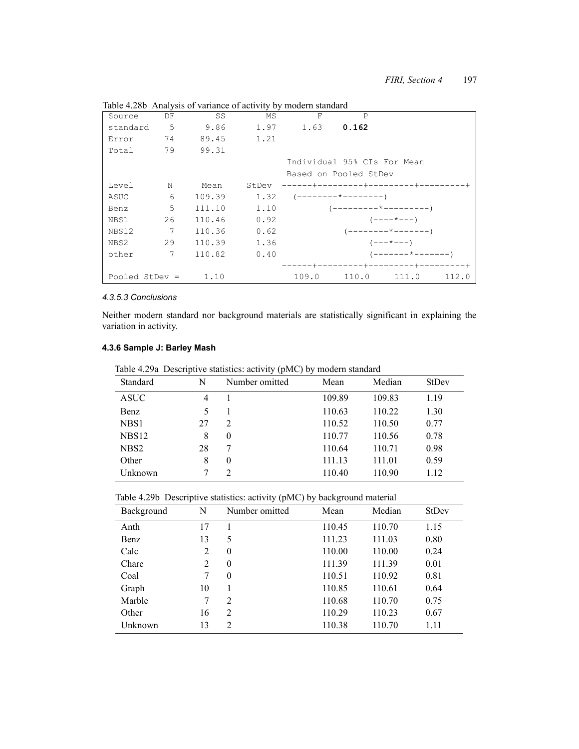| Source           | DF | SS     | MS    | $\rm F$ | $\mathsf{P}$                |                     |       |
|------------------|----|--------|-------|---------|-----------------------------|---------------------|-------|
| standard         | 5  | 9.86   | 1.97  | 1.63    | 0.162                       |                     |       |
| Error            | 74 | 89.45  | 1.21  |         |                             |                     |       |
| Total            | 79 | 99.31  |       |         |                             |                     |       |
|                  |    |        |       |         | Individual 95% CIs For Mean |                     |       |
|                  |    |        |       |         | Based on Pooled StDev       |                     |       |
| Level            | N  | Mean   | StDev |         | -------+-                   | --------+-          |       |
| ASUC             | 6  | 109.39 | 1.32  |         |                             |                     |       |
| Benz             | 5  | 111.10 | 1.10  |         |                             |                     |       |
| NBS1             | 26 | 110.46 | 0.92  |         |                             | $(----+---)$        |       |
| NBS12            | 7  | 110.36 | 0.62  |         |                             |                     |       |
| NBS2             | 29 | 110.39 | 1.36  |         |                             | $(- - - * - - -)$   |       |
| other            | 7  | 110.82 | 0.40  |         |                             | ( -------*------- ) |       |
|                  |    |        |       |         |                             |                     |       |
| Pooled StDev $=$ |    | 1.10   |       | 109.0   | 110.0                       | 111.0               | 112.0 |

Table 4.28b Analysis of variance of activity by modern standard

#### *4.3.5.3 Conclusions*

Neither modern standard nor background materials are statistically significant in explaining the variation in activity.

## **4.3.6 Sample J: Barley Mash**

Table 4.29a Descriptive statistics: activity (pMC) by modern standard

| Standard          | N  | Number omitted | Mean   | Median | <b>StDev</b> |
|-------------------|----|----------------|--------|--------|--------------|
| <b>ASUC</b>       | 4  |                | 109.89 | 109.83 | 1.19         |
| Benz              | 5  |                | 110.63 | 110.22 | 1.30         |
| NBS1              | 27 | 2              | 110.52 | 110.50 | 0.77         |
| NBS <sub>12</sub> | 8  | $\theta$       | 110.77 | 110.56 | 0.78         |
| NBS <sub>2</sub>  | 28 | 7              | 110.64 | 110.71 | 0.98         |
| Other             | 8  | $\theta$       | 111.13 | 111.01 | 0.59         |
| Unknown           |    | $\overline{2}$ | 110.40 | 110.90 | 1.12         |

| Table 4.29b Descriptive statistics: activity (pMC) by background material |  |
|---------------------------------------------------------------------------|--|

| Background | N  | Number omitted | Mean   | Median | <b>StDev</b> |
|------------|----|----------------|--------|--------|--------------|
| Anth       | 17 |                | 110.45 | 110.70 | 1.15         |
| Benz       | 13 | 5              | 111.23 | 111.03 | 0.80         |
| Calc       | 2  | $\theta$       | 110.00 | 110.00 | 0.24         |
| Charc      | 2  | $\theta$       | 111.39 | 111.39 | 0.01         |
| Coal       | 7  | $\theta$       | 110.51 | 110.92 | 0.81         |
| Graph      | 10 |                | 110.85 | 110.61 | 0.64         |
| Marble     | 7  | $\overline{2}$ | 110.68 | 110.70 | 0.75         |
| Other      | 16 | $\overline{2}$ | 110.29 | 110.23 | 0.67         |
| Unknown    | 13 | $\overline{2}$ | 110.38 | 110.70 | 1.11         |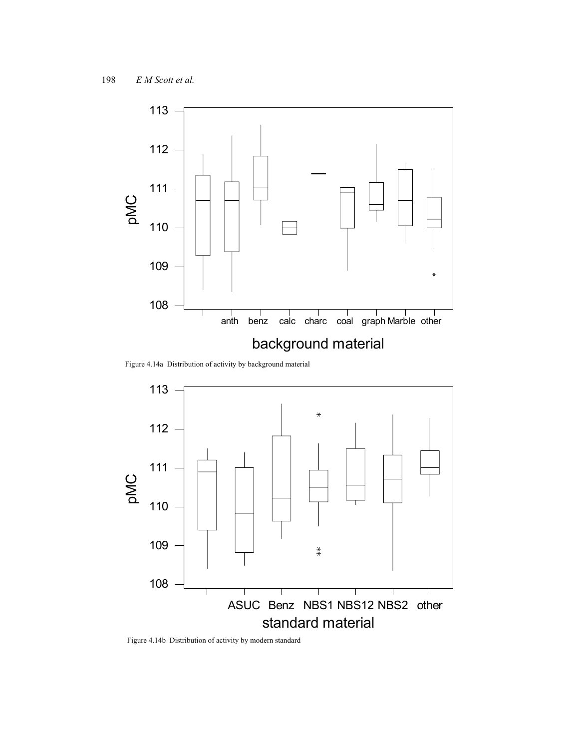

Figure 4.14a Distribution of activity by background material



Figure 4.14b Distribution of activity by modern standard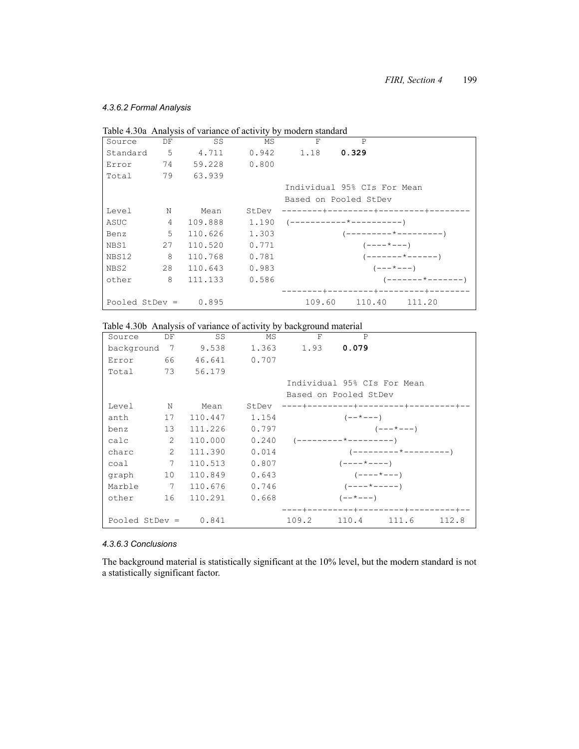### *4.3.6.2 Formal Analysis*

|                        |                |           |              | Table 4.30a Analysis of variance of activity by modern standard |                              |
|------------------------|----------------|-----------|--------------|-----------------------------------------------------------------|------------------------------|
| Source                 | DF             | SS        | MS           | F                                                               | P                            |
| Standard               | 5 <sub>5</sub> | 4.711     |              | $0.942$ 1.18 0.329                                              |                              |
| Error                  | 74             |           | 59.228 0.800 |                                                                 |                              |
| Total                  |                | 79 63.939 |              |                                                                 |                              |
|                        |                |           |              |                                                                 | Individual 95% CIs For Mean  |
|                        |                |           |              |                                                                 | Based on Pooled StDev        |
| Level                  | N              | Mean      | StDev        |                                                                 | --------+-                   |
| ASUC                   | $\overline{4}$ | 109.888   | 1.190        |                                                                 |                              |
| Benz                   | 5.             | 110.626   | 1.303        |                                                                 | (---------*---------)        |
| NBS1                   | 27             | 110.520   | 0.771        |                                                                 | $(----+---)$                 |
| NBS12                  | 8              | 110.768   | 0.781        |                                                                 | $(----- + ---- + ----)$      |
| NBS2                   | 28             | 110.643   | 0.983        |                                                                 | $(- - - \times - - -)$       |
| other                  | 8              | 111.133   | 0.586        |                                                                 | $($ -------*--------         |
|                        |                |           |              |                                                                 | -----+---------+---------+-- |
| Pooled StDev = $0.895$ |                |           |              | 109.60                                                          | 110.40<br>111.20             |

Table 4.30b Analysis of variance of activity by background material

| Source         | DF | SS      | MS    | F     | P                          |                                      |       |
|----------------|----|---------|-------|-------|----------------------------|--------------------------------------|-------|
| background     | 7  | 9.538   | 1.363 | 1.93  | 0.079                      |                                      |       |
| Error          | 66 | 46.641  | 0.707 |       |                            |                                      |       |
| Total          | 73 | 56.179  |       |       |                            |                                      |       |
|                |    |         |       |       |                            | Individual 95% CIs For Mean          |       |
|                |    |         |       |       | Based on Pooled StDev      |                                      |       |
| Level          | N  | Mean    | StDev |       |                            | ----+---------+---------+--------+-- |       |
| anth           | 17 | 110.447 | 1.154 |       | $(- - * - - -)$            |                                      |       |
| benz           | 13 | 111.226 | 0.797 |       |                            | $(- - - \times - - -)$               |       |
| calc           | 2  | 110.000 | 0.240 |       |                            |                                      |       |
| charc          | 2  | 111.390 | 0.014 |       |                            |                                      |       |
| coal           | 7  | 110.513 | 0.807 |       | $(- - - - \times - - - -)$ |                                      |       |
| graph          | 10 | 110.849 | 0.643 |       | $(----+---)$               |                                      |       |
| Marble         | 7  | 110.676 | 0.746 |       | $(----+---)$               |                                      |       |
| other          | 16 | 110.291 | 0.668 |       | $(- - * - - -)$            |                                      |       |
|                |    |         |       |       |                            | ----+---------+---------+--------+-- |       |
| Pooled StDev = |    | 0.841   |       | 109.2 | 110.4                      | 111.6                                | 112.8 |

## *4.3.6.3 Conclusions*

The background material is statistically significant at the 10% level, but the modern standard is not a statistically significant factor.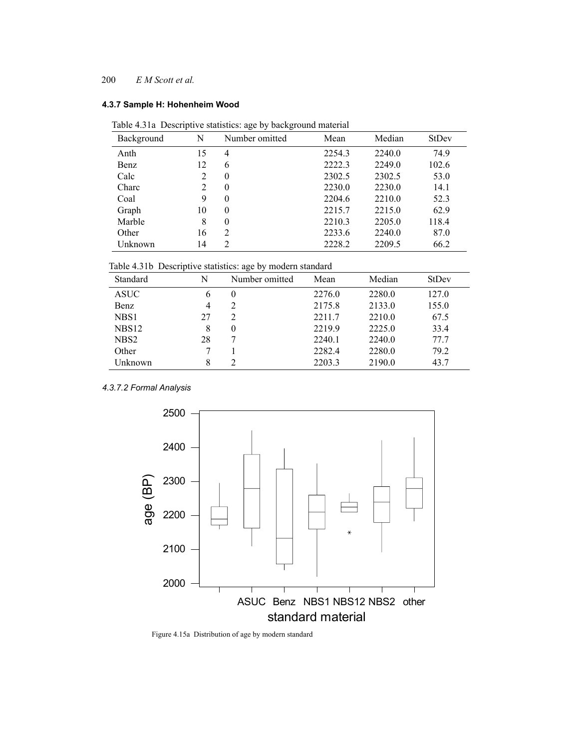# **4.3.7 Sample H: Hohenheim Wood**

| Table 4.31a Descriptive statistics: age by background material |  |  |  |  |  |  |
|----------------------------------------------------------------|--|--|--|--|--|--|
|----------------------------------------------------------------|--|--|--|--|--|--|

| Background | N              | Number omitted | Mean   | Median | <b>StDev</b> |
|------------|----------------|----------------|--------|--------|--------------|
| Anth       | 15             | 4              | 2254.3 | 2240.0 | 74.9         |
| Benz       | 12             | 6              | 2222.3 | 2249.0 | 102.6        |
| Calc       | 2              | $\theta$       | 2302.5 | 2302.5 | 53.0         |
| Charc      | $\mathfrak{D}$ | $\theta$       | 2230.0 | 2230.0 | 14.1         |
| Coal       | 9              | $\theta$       | 2204.6 | 2210.0 | 52.3         |
| Graph      | 10             | $\theta$       | 2215.7 | 2215.0 | 62.9         |
| Marble     | 8              | $\theta$       | 2210.3 | 2205.0 | 118.4        |
| Other      | 16             | 2              | 2233.6 | 2240.0 | 87.0         |
| Unknown    | 14             | $\overline{2}$ | 2228.2 | 2209.5 | 66.2         |

Table 4.31b Descriptive statistics: age by modern standard

| $\overline{\phantom{a}}$ |    | $\tilde{\phantom{a}}$ |        |        |       |
|--------------------------|----|-----------------------|--------|--------|-------|
| Standard                 | N  | Number omitted        | Mean   | Median | StDev |
| <b>ASUC</b>              | 6  | $\theta$              | 2276.0 | 2280.0 | 127.0 |
| Benz                     | 4  | 2                     | 2175.8 | 2133.0 | 155.0 |
| NBS1                     | 27 | 2                     | 2211.7 | 2210.0 | 67.5  |
| NBS <sub>12</sub>        | 8  | $\theta$              | 2219.9 | 2225.0 | 33.4  |
| NBS <sub>2</sub>         | 28 |                       | 2240.1 | 2240.0 | 77.7  |
| Other                    |    |                       | 2282.4 | 2280.0 | 79.2  |
| Unknown                  | 8  |                       | 2203.3 | 2190.0 | 43.7  |

*4.3.7.2 Formal Analysis*



Figure 4.15a Distribution of age by modern standard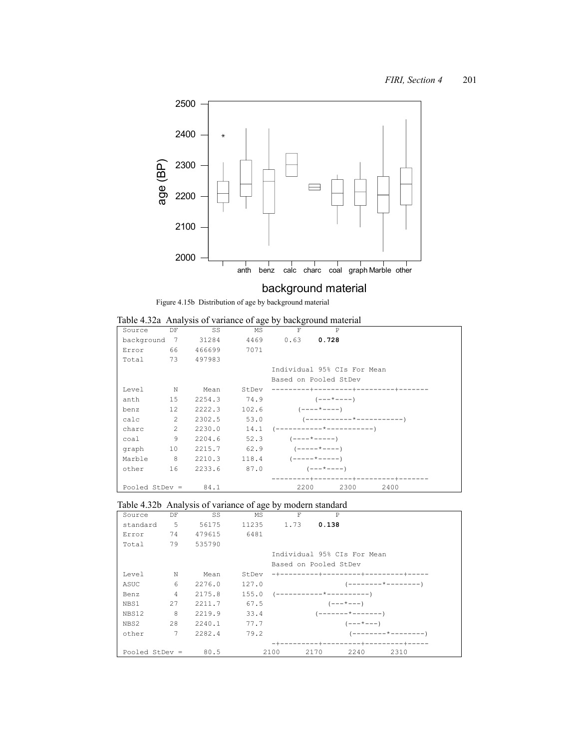

# background material

Figure 4.15b Distribution of age by background material

|  |  | Table 4.32a Analysis of variance of age by background material |
|--|--|----------------------------------------------------------------|
|  |  |                                                                |

| Source                | DF             | SS                           | MS    | F                       | P                              |      |
|-----------------------|----------------|------------------------------|-------|-------------------------|--------------------------------|------|
| background 7          |                | 31284                        |       | 4469 0.63 0.728         |                                |      |
| Error                 |                | 66 466699                    | 7071  |                         |                                |      |
| Total 73 497983       |                |                              |       |                         |                                |      |
|                       |                |                              |       |                         | Individual 95% CIs For Mean    |      |
|                       |                |                              |       |                         | Based on Pooled StDev          |      |
| Level                 | $\mathbb N$    | Mean                         | StDev |                         | ---------+---------+--------+- |      |
| anth                  |                | 15 2254.3                    | 74.9  |                         | $(- - - \times - - - -)$       |      |
| benz                  | 12             | $2222.3$ 102.6 $(----*----)$ |       |                         |                                |      |
| calc                  | 2              | 2302.5                       | 53.0  |                         |                                |      |
| charc                 | 2              | 2230.0                       | 14.1  |                         |                                |      |
| coal                  | 9              | 2204.6                       | 52.3  |                         | $(----+---)$                   |      |
| qraph                 | 10             | $2215.7$ 62.9 $(----+---)$   |       |                         |                                |      |
| Marble                | 8 <sup>8</sup> | 2210.3                       |       | $118.4$ $(-----+-----)$ |                                |      |
| other                 | 16             | 2233.6                       |       | $87.0$ $(---+---)$      |                                |      |
|                       |                |                              |       |                         | -------+---------+--------+-   |      |
| Pooled StDev = $84.1$ |                |                              |       | 2200                    | 2300                           | 2400 |

# Table 4.32b Analysis of variance of age by modern standard

| Source           | DF              | SS     | MS    | F                | $\mathsf{P}$                     |                   |                     |  |
|------------------|-----------------|--------|-------|------------------|----------------------------------|-------------------|---------------------|--|
| standard         | $-5$            | 56175  |       | 11235 1.73 0.138 |                                  |                   |                     |  |
| Error            | 74              | 479615 | 6481  |                  |                                  |                   |                     |  |
| Total            | 79              | 535790 |       |                  |                                  |                   |                     |  |
|                  |                 |        |       |                  | Individual 95% CIs For Mean      |                   |                     |  |
|                  |                 |        |       |                  | Based on Pooled StDev            |                   |                     |  |
| Level            | N               | Mean   | StDev |                  | -+---------+---------+--------+  |                   |                     |  |
| ASUC             | 6               | 2276.0 | 127.0 |                  |                                  |                   |                     |  |
| Benz             | $\overline{4}$  | 2175.8 | 155.0 |                  |                                  |                   |                     |  |
| NBS1             | 27              | 2211.7 | 67.5  |                  |                                  | $(- - - * - - -)$ |                     |  |
| NBS12            | -8              | 2219.9 | 33.4  |                  |                                  |                   |                     |  |
| NBS2             | 28              | 2240.1 | 77.7  |                  |                                  | $(- - - * - - -)$ |                     |  |
| other            | $7\phantom{.0}$ | 2282.4 | 79.2  |                  |                                  |                   | (--------*--------- |  |
|                  |                 |        |       |                  | -+---------+----------+-------+- |                   |                     |  |
| Pooled StDev $=$ |                 | 80.5   |       | 2100             | 2170                             | 2240              | 2310                |  |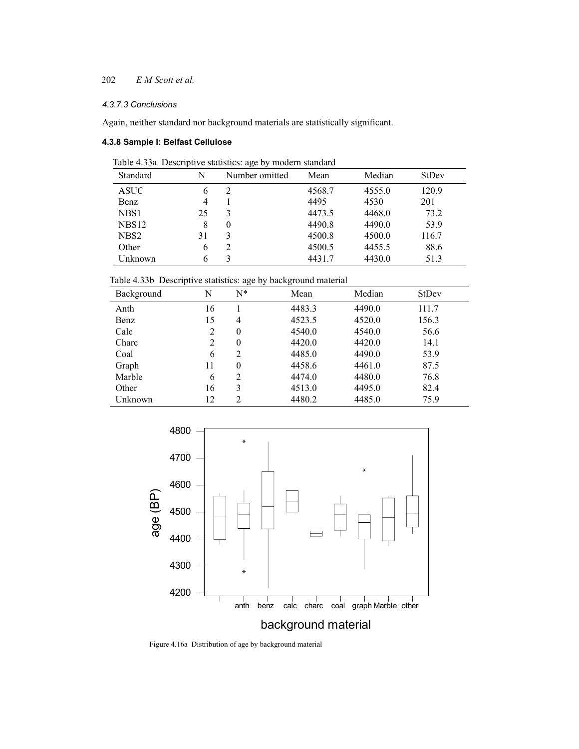# *4.3.7.3 Conclusions*

Again, neither standard nor background materials are statistically significant.

## **4.3.8 Sample I: Belfast Cellulose**

| Table 4.33a Descriptive statistics: age by modern standard |
|------------------------------------------------------------|
|------------------------------------------------------------|

| Standard          | N  | Number omitted | Mean   | Median | StDev |
|-------------------|----|----------------|--------|--------|-------|
| <b>ASUC</b>       | 6  | 2              | 4568.7 | 4555.0 | 120.9 |
| Benz              | 4  |                | 4495   | 4530   | 201   |
| NBS1              | 25 | 3              | 4473.5 | 4468.0 | 73.2  |
| NBS <sub>12</sub> | 8  | $\theta$       | 4490.8 | 4490.0 | 53.9  |
| NBS <sub>2</sub>  | 31 | 3              | 4500.8 | 4500.0 | 116.7 |
| Other             | h  | $\overline{2}$ | 4500.5 | 4455.5 | 88.6  |
| Unknown           |    | 3              | 4431.7 | 4430.0 | 51.3  |

Table 4.33b Descriptive statistics: age by background material

| л.<br>Background | N              | $\check{ }$<br>◡<br>$N^*$ | $\tilde{}$<br>Mean | Median | StDev |
|------------------|----------------|---------------------------|--------------------|--------|-------|
| Anth             | 16             |                           | 4483.3             | 4490.0 | 111.7 |
| Benz             | 15             | 4                         | 4523.5             | 4520.0 | 156.3 |
| Calc             | 2              | $\theta$                  | 4540.0             | 4540.0 | 56.6  |
| Charc            | $\overline{2}$ | $\theta$                  | 4420.0             | 4420.0 | 14.1  |
| Coal             | 6              | $\overline{2}$            | 4485.0             | 4490.0 | 53.9  |
| Graph            | 11             | $\theta$                  | 4458.6             | 4461.0 | 87.5  |
| Marble           | 6              | $\overline{2}$            | 4474.0             | 4480.0 | 76.8  |
| Other            | 16             | 3                         | 4513.0             | 4495.0 | 82.4  |
| Unknown          | 12             | $\mathfrak{D}$            | 4480.2             | 4485.0 | 75.9  |



Figure 4.16a Distribution of age by background material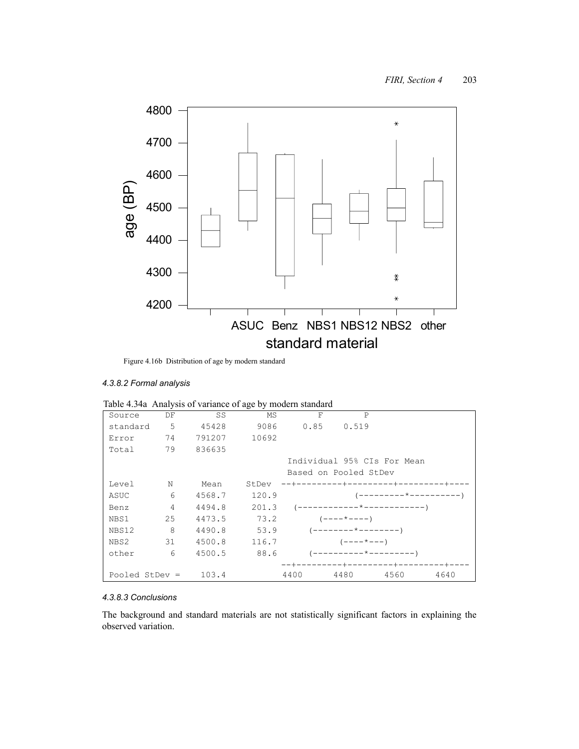

Figure 4.16b Distribution of age by modern standard

#### *4.3.8.2 Formal analysis*

| Table 4.54a Thiai yois of variance of age by modern standard |    |        |       |                 |                       |                                   |      |
|--------------------------------------------------------------|----|--------|-------|-----------------|-----------------------|-----------------------------------|------|
| Source                                                       | DF | SS     | MS    | F               | $\mathsf{P}$          |                                   |      |
| standard                                                     | 5  | 45428  |       | 9086 0.85 0.519 |                       |                                   |      |
| Error                                                        | 74 | 791207 | 10692 |                 |                       |                                   |      |
| Total                                                        | 79 | 836635 |       |                 |                       |                                   |      |
|                                                              |    |        |       |                 |                       | Individual 95% CIs For Mean       |      |
|                                                              |    |        |       |                 | Based on Pooled StDev |                                   |      |
| Level                                                        | N  | Mean   | StDev |                 |                       | --+---------+---------+--------+- |      |
| ASUC                                                         | 6  | 4568.7 | 120.9 |                 |                       |                                   |      |
| Benz                                                         | 4  | 4494.8 | 201.3 |                 |                       |                                   |      |
| NBS1                                                         | 25 | 4473.5 | 73.2  |                 | $(----+---)$          |                                   |      |
| NBS12                                                        | 8  | 4490.8 | 53.9  |                 |                       |                                   |      |
| NBS2                                                         | 31 | 4500.8 | 116.7 |                 | $(----+---)$          |                                   |      |
| other                                                        | 6  | 4500.5 | 88.6  |                 |                       |                                   |      |
|                                                              |    |        |       |                 | --+---------+-        |                                   |      |
| Pooled StDev $=$                                             |    | 103.4  |       | 4400            | 4480                  | 4560                              | 4640 |

# *4.3.8.3 Conclusions*

The background and standard materials are not statistically significant factors in explaining the observed variation.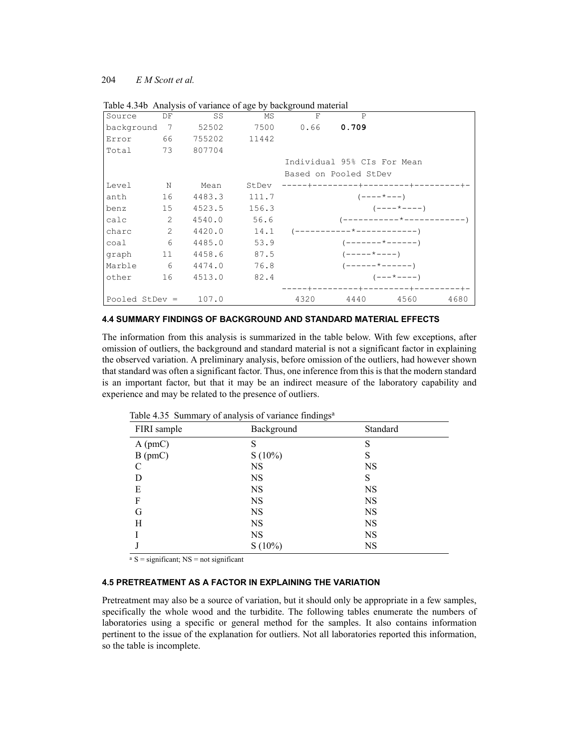| Source         | DF             | SS     | MS    | F                           | $\mathsf{P}$            |                            |      |
|----------------|----------------|--------|-------|-----------------------------|-------------------------|----------------------------|------|
| background     | $\overline{7}$ | 52502  | 7500  | 0.66                        | 0.709                   |                            |      |
| Error          | 66             | 755202 | 11442 |                             |                         |                            |      |
| Total          | 73             | 807704 |       |                             |                         |                            |      |
|                |                |        |       | Individual 95% CIs For Mean |                         |                            |      |
|                |                |        |       | Based on Pooled StDev       |                         |                            |      |
| Level          | $\mathbf N$    | Mean   | StDev |                             |                         |                            |      |
| anth           | 16             | 4483.3 | 111.7 |                             | $(----+---)$            |                            |      |
| benz           | 15             | 4523.5 | 156.3 |                             |                         | $(----+---)$               |      |
| $calc}$        | 2              | 4540.0 | 56.6  |                             |                         | (-----------*------------' |      |
| charc          | 2              | 4420.0 | 14.1  |                             |                         |                            |      |
| coal           | 6              | 4485.0 | 53.9  |                             |                         | $(----- + ---- + ----)$    |      |
| graph          | 11             | 4458.6 | 87.5  |                             | $(----+---)$            |                            |      |
| Marble         | 6              | 4474.0 | 76.8  |                             | $(----- + ---- + ----)$ |                            |      |
| other          | 16             | 4513.0 | 82.4  |                             |                         | $(- - - * - - -)$          |      |
|                |                |        |       |                             |                         |                            |      |
| Pooled StDev = |                | 107.0  |       | 4320                        | 4440                    | 4560                       | 4680 |

Table 4.34b Analysis of variance of age by background material

#### **4.4 SUMMARY FINDINGS OF BACKGROUND AND STANDARD MATERIAL EFFECTS**

The information from this analysis is summarized in the table below. With few exceptions, after omission of outliers, the background and standard material is not a significant factor in explaining the observed variation. A preliminary analysis, before omission of the outliers, had however shown that standard was often a significant factor. Thus, one inference from this is that the modern standard is an important factor, but that it may be an indirect measure of the laboratory capability and experience and may be related to the presence of outliers.

| ┙<br>FIRI sample | ╯<br>$\sim$<br>Background | Standard  |
|------------------|---------------------------|-----------|
| A (pmC)          | S                         | S         |
| $B$ (pmC)        | $S(10\%)$                 | S         |
| C                | <b>NS</b>                 | <b>NS</b> |
| D                | NS                        | S         |
| E                | <b>NS</b>                 | <b>NS</b> |
| F                | <b>NS</b>                 | <b>NS</b> |
| G                | NS                        | <b>NS</b> |
| Н                | NS                        | <b>NS</b> |
|                  | <b>NS</b>                 | <b>NS</b> |
|                  | $S(10\%)$                 | NS        |

Table 4.35 Summary of analysis of variance findings<sup>a</sup>

 $a S =$  significant; NS = not significant

#### **4.5 PRETREATMENT AS A FACTOR IN EXPLAINING THE VARIATION**

Pretreatment may also be a source of variation, but it should only be appropriate in a few samples, specifically the whole wood and the turbidite. The following tables enumerate the numbers of laboratories using a specific or general method for the samples. It also contains information pertinent to the issue of the explanation for outliers. Not all laboratories reported this information, so the table is incomplete.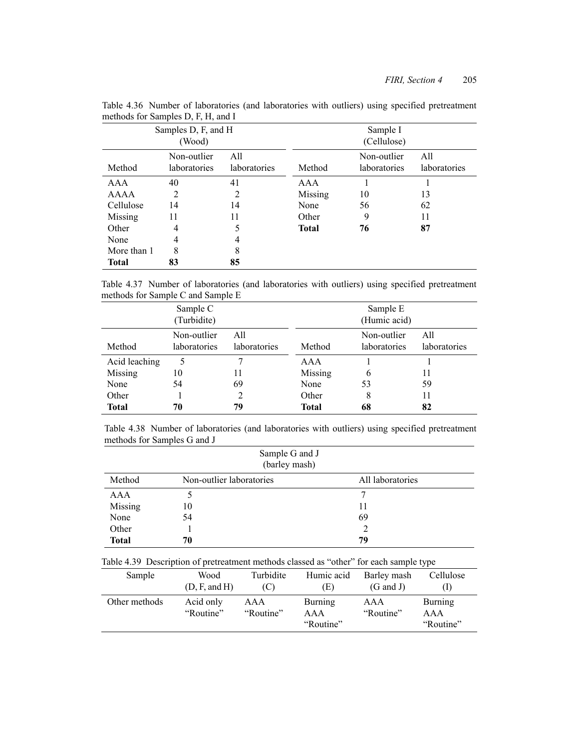| Samples D, F, and H<br>(Wood) |                             |                     | Sample I<br>(Cellulose) |                             |                     |  |
|-------------------------------|-----------------------------|---------------------|-------------------------|-----------------------------|---------------------|--|
| Method                        | Non-outlier<br>laboratories | All<br>laboratories | Method                  | Non-outlier<br>laboratories | All<br>laboratories |  |
| AAA                           | 40                          | 41                  | AAA                     |                             |                     |  |
| AAAA                          | 2                           | 2                   | Missing                 | 10                          | 13                  |  |
| Cellulose                     | 14                          | 14                  | None                    | 56                          | 62                  |  |
| Missing                       | 11                          | 11                  | Other                   | 9                           | 11                  |  |
| Other                         | 4                           | 5                   | <b>Total</b>            | 76                          | 87                  |  |
| None                          | 4                           | 4                   |                         |                             |                     |  |
| More than 1                   | 8                           | 8                   |                         |                             |                     |  |
| <b>Total</b>                  | 83                          | 85                  |                         |                             |                     |  |

Table 4.36 Number of laboratories (and laboratories with outliers) using specified pretreatment methods for Samples D, F, H, and I

Table 4.37 Number of laboratories (and laboratories with outliers) using specified pretreatment methods for Sample C and Sample E

| Sample C<br>(Turbidite) |                             |                     | Sample E<br>(Humic acid) |                             |                     |  |
|-------------------------|-----------------------------|---------------------|--------------------------|-----------------------------|---------------------|--|
| Method                  | Non-outlier<br>laboratories | All<br>laboratories | Method                   | Non-outlier<br>laboratories | All<br>laboratories |  |
| Acid leaching           |                             |                     | AAA                      |                             |                     |  |
| Missing                 | 10                          | 11                  | Missing                  | 6                           | 11                  |  |
| None                    | 54                          | 69                  | None                     | 53                          | 59                  |  |
| Other                   |                             |                     | Other                    | 8                           | 11                  |  |
| <b>Total</b>            | 70                          | 79                  | Total                    | 68                          | 82                  |  |

|                             |  |  | Table 4.38 Number of laboratories (and laboratories with outliers) using specified pretreatment |  |  |  |
|-----------------------------|--|--|-------------------------------------------------------------------------------------------------|--|--|--|
| methods for Samples G and J |  |  |                                                                                                 |  |  |  |

|              |                                                                                        | Sample G and J<br>(barley mash) |            |                  |           |
|--------------|----------------------------------------------------------------------------------------|---------------------------------|------------|------------------|-----------|
| Method       | Non-outlier laboratories                                                               |                                 |            | All laboratories |           |
| AAA          |                                                                                        |                                 |            | 7                |           |
| Missing      | 10                                                                                     |                                 |            | 11               |           |
| None         | 54                                                                                     |                                 |            | 69               |           |
| Other        |                                                                                        |                                 |            | $\overline{c}$   |           |
| <b>Total</b> | 70                                                                                     |                                 |            | 79               |           |
|              | Table 4.39 Description of pretreatment methods classed as "other" for each sample type |                                 |            |                  |           |
| Sample       | Wood                                                                                   | Turbidite                       | Humic acid | Barley mash      | Cellulose |

| Sample        | Wood<br>(D, F, and H)  | Turbidite        | Humic acid<br>.E)           | Barley mash<br>(G and J) | Cellulose                   |
|---------------|------------------------|------------------|-----------------------------|--------------------------|-----------------------------|
| Other methods | Acid only<br>"Routine" | AAA<br>"Routine" | Burning<br>AAA<br>"Routine" | AAA<br>"Routine"         | Burning<br>AAA<br>"Routine" |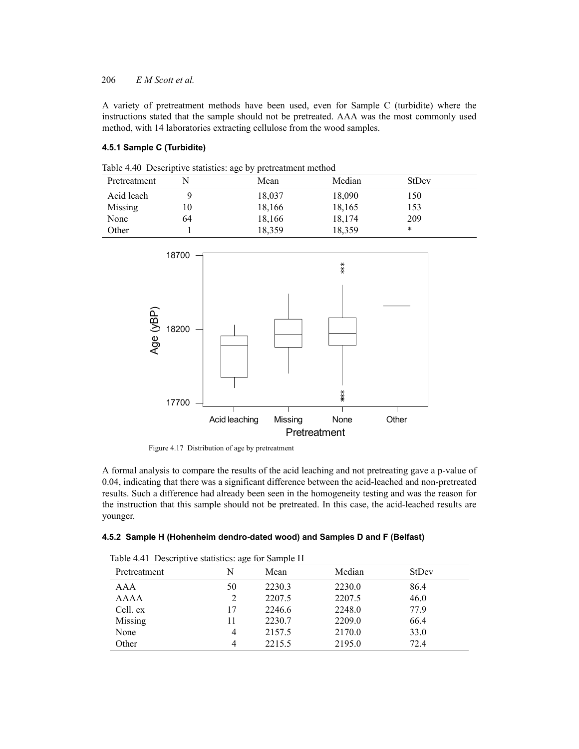A variety of pretreatment methods have been used, even for Sample C (turbidite) where the instructions stated that the sample should not be pretreated. AAA was the most commonly used method, with 14 laboratories extracting cellulose from the wood samples.

## **4.5.1 Sample C (Turbidite)**

|  |  | Table 4.40 Descriptive statistics: age by pretreatment method |  |  |  |
|--|--|---------------------------------------------------------------|--|--|--|
|--|--|---------------------------------------------------------------|--|--|--|

|              |    | ຼ<br>- - - |        |              |  |
|--------------|----|------------|--------|--------------|--|
| Pretreatment |    | Mean       | Median | <b>StDev</b> |  |
| Acid leach   |    | 18,037     | 18,090 | 150          |  |
| Missing      | 10 | 18,166     | 18,165 | 153          |  |
| None         | 64 | 18,166     | 18,174 | 209          |  |
| Other        |    | 18,359     | 18,359 | *            |  |



Figure 4.17 Distribution of age by pretreatment

A formal analysis to compare the results of the acid leaching and not pretreating gave a p-value of 0.04, indicating that there was a significant difference between the acid-leached and non-pretreated results. Such a difference had already been seen in the homogeneity testing and was the reason for the instruction that this sample should not be pretreated. In this case, the acid-leached results are younger.

|  |  |  | 4.5.2 Sample H (Hohenheim dendro-dated wood) and Samples D and F (Belfast) |  |  |  |  |
|--|--|--|----------------------------------------------------------------------------|--|--|--|--|
|--|--|--|----------------------------------------------------------------------------|--|--|--|--|

| Pretreatment | N              | Mean   | Median | StDev |  |
|--------------|----------------|--------|--------|-------|--|
| AAA          | 50             | 2230.3 | 2230.0 | 86.4  |  |
| AAAA         | 2              | 2207.5 | 2207.5 | 46.0  |  |
| Cell. ex     | 17             | 2246.6 | 2248.0 | 77.9  |  |
| Missing      | 11             | 2230.7 | 2209.0 | 66.4  |  |
| None         | $\overline{4}$ | 2157.5 | 2170.0 | 33.0  |  |
| Other        | 4              | 2215.5 | 2195.0 | 72.4  |  |
|              |                |        |        |       |  |

Table 4.41 Descriptive statistics: age for Sample H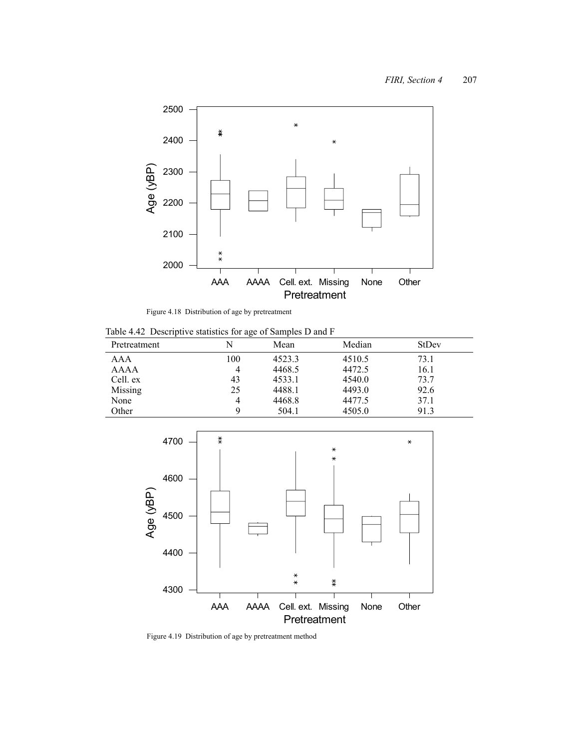

Figure 4.18 Distribution of age by pretreatment

Table 4.42 Descriptive statistics for age of Samples D and F

| Pretreatment | N   | Mean   | Median | StDev |
|--------------|-----|--------|--------|-------|
| AAA          | 100 | 4523.3 | 4510.5 | 73.1  |
| AAAA         |     | 4468.5 | 4472.5 | 16.1  |
| Cell. ex     | 43  | 4533.1 | 4540.0 | 73.7  |
| Missing      | 25  | 4488.1 | 4493.0 | 92.6  |
| None         |     | 4468.8 | 4477.5 | 37.1  |
| Other        |     | 504.1  | 4505.0 | 91.3  |



Figure 4.19 Distribution of age by pretreatment method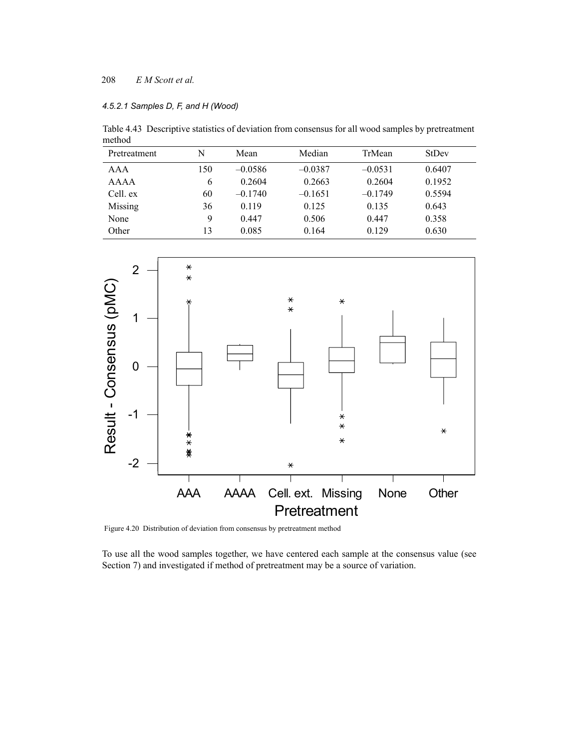## *4.5.2.1 Samples D, F, and H (Wood)*

Table 4.43 Descriptive statistics of deviation from consensus for all wood samples by pretreatment method

| Pretreatment | N   | Mean      | Median    | TrMean    | StDev  |
|--------------|-----|-----------|-----------|-----------|--------|
| AAA          | 150 | $-0.0586$ | $-0.0387$ | $-0.0531$ | 0.6407 |
| <b>AAAA</b>  | 6   | 0.2604    | 0.2663    | 0.2604    | 0.1952 |
| Cell. ex     | 60  | $-0.1740$ | $-0.1651$ | $-0.1749$ | 0.5594 |
| Missing      | 36  | 0.119     | 0.125     | 0.135     | 0.643  |
| None         | 9   | 0.447     | 0.506     | 0.447     | 0.358  |
| Other        | 13  | 0.085     | 0.164     | 0.129     | 0.630  |



Figure 4.20 Distribution of deviation from consensus by pretreatment method

To use all the wood samples together, we have centered each sample at the consensus value (see Section 7) and investigated if method of pretreatment may be a source of variation.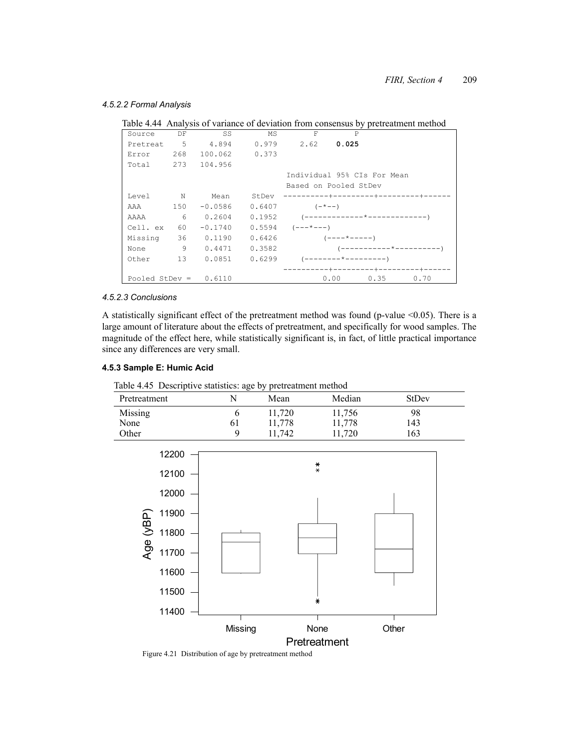#### *4.5.2.2 Formal Analysis*

|                   |     |               |       |                             |       | Table 4.44 Analysis of variance of deviation from consensus by pretreatment method |
|-------------------|-----|---------------|-------|-----------------------------|-------|------------------------------------------------------------------------------------|
| Source            | DF. | SS            | ΜS    | F                           |       |                                                                                    |
| Pretreat 5 4.894  |     |               |       | $0.979$ 2.62                | 0.025 |                                                                                    |
| Error             | 268 | 100.062 0.373 |       |                             |       |                                                                                    |
| Total 273 104.956 |     |               |       |                             |       |                                                                                    |
|                   |     |               |       | Individual 95% CIs For Mean |       |                                                                                    |
|                   |     |               |       | Based on Pooled StDev       |       |                                                                                    |
| Level             | Ν   | Mean          | StDev |                             |       | -----------+---------+-------+----                                                 |

AAAA 6 0.2604 0.1952 (-------------\*-------------)

Table 4.44 Analysis of variance of deviation from consensus by pretreatment method

#### *4.5.2.3 Conclusions*

A statistically significant effect of the pretreatment method was found (p-value <0.05). There is a large amount of literature about the effects of pretreatment, and specifically for wood samples. The magnitude of the effect here, while statistically significant is, in fact, of little practical importance since any differences are very small.

 ----------+---------+---------+------ Pooled StDev = 0.6110 0.00 0.35 0.70

#### **4.5.3 Sample E: Humic Acid**

|  |  |  |  |  | Table 4.45 Descriptive statistics: age by pretreatment method |  |
|--|--|--|--|--|---------------------------------------------------------------|--|
|--|--|--|--|--|---------------------------------------------------------------|--|

AAA 150 -0.0586 0.6407 (-\*--)

Missing 36 0.1190 0.6426 (----\*-----) None 9 0.4471 0.3582 (--------0ther 13 0.0851 0.6299 (--------\*----------)

Cell. ex  $60 -0.1740 0.5594$   $(- - + - -)$ 

| Pretreatment |     | Mean   | Median | StDev |
|--------------|-----|--------|--------|-------|
| Missing      |     | 11,720 | 11,756 | 98    |
| None         | 0 I | 11,778 | 11,778 | 143   |
| Other        |     | 11,742 | 1,720  | 163   |



Figure 4.21 Distribution of age by pretreatment method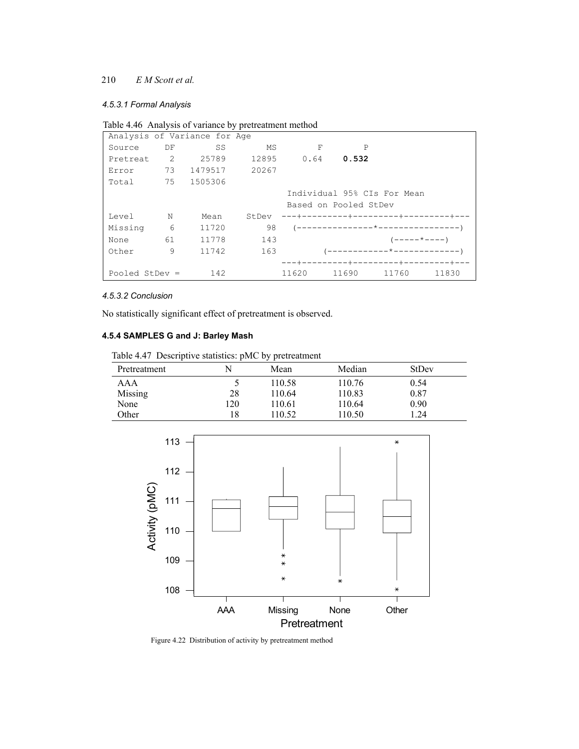#### *4.5.3.1 Formal Analysis*

|  |  |   |  | Table 4.46 Analysis of variance by pretreatment method |
|--|--|---|--|--------------------------------------------------------|
|  |  | . |  |                                                        |

|                                                           |    | Analysis of Variance for Age |       |      |                       |                                   |              |
|-----------------------------------------------------------|----|------------------------------|-------|------|-----------------------|-----------------------------------|--------------|
| Source                                                    | DF | SS                           | MS    | F    |                       | $\mathbf P$                       |              |
| Pretreat                                                  | 2  | 25789                        | 12895 | 0.64 | 0.532                 |                                   |              |
| Error                                                     | 73 | 1479517                      | 20267 |      |                       |                                   |              |
| Total                                                     | 75 | 1505306                      |       |      |                       |                                   |              |
|                                                           |    |                              |       |      |                       | Individual 95% CIs For Mean       |              |
|                                                           |    |                              |       |      | Based on Pooled StDev |                                   |              |
| Level                                                     | N  | Mean                         | StDev |      |                       | ---+---------+---------+-------+  |              |
| Missing                                                   | 6  | 11720                        | 98    |      |                       | (---------------*---------------- |              |
| None                                                      | 61 | 11778                        | 143   |      |                       | $(----+---)$                      |              |
| Other                                                     | 9  | 11742                        | 163   |      |                       | (------------*-------------       |              |
|                                                           |    |                              |       |      |                       | ----+--------+-                   | --------+--- |
| 142<br>11620<br>11690<br>11760<br>11830<br>Pooled StDev = |    |                              |       |      |                       |                                   |              |

## *4.5.3.2 Conclusion*

No statistically significant effect of pretreatment is observed.

# **4.5.4 SAMPLES G and J: Barley Mash**

|  |  | Table 4.47 Descriptive statistics: pMC by pretreatment |
|--|--|--------------------------------------------------------|
|  |  |                                                        |

| Pretreatment | N   | Mean   | Median | StDev |
|--------------|-----|--------|--------|-------|
| AAA          |     | 110.58 | 110.76 | 0.54  |
| Missing      | 28  | 110.64 | 110.83 | 0.87  |
| None         | 120 | 110.61 | 110.64 | 0.90  |
| Other        | 18  | 110.52 | 110.50 | 1.24  |



Figure 4.22 Distribution of activity by pretreatment method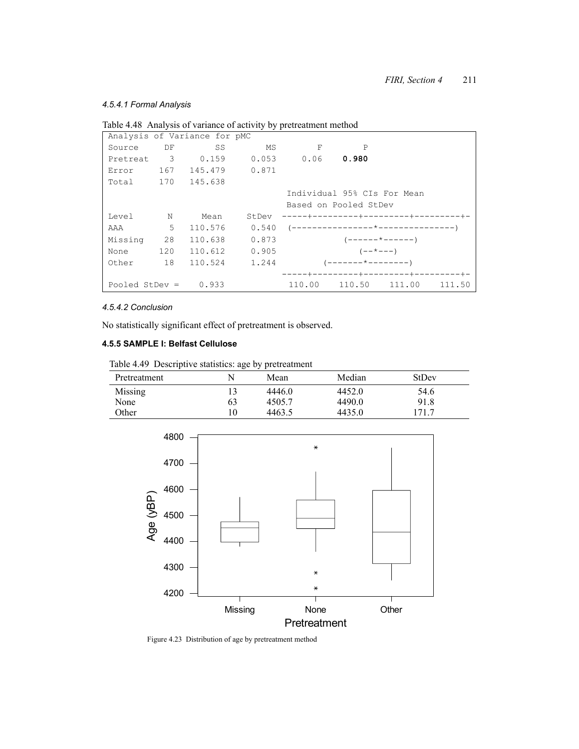# *4.5.4.1 Formal Analysis*

|         |                                                             | $\cdots$<br>Analysis of Variance for pMC |       |                                    |                      |  |  |  |  |
|---------|-------------------------------------------------------------|------------------------------------------|-------|------------------------------------|----------------------|--|--|--|--|
| Source  | DF                                                          | SS                                       | MS    | F                                  | $\mathsf{P}$         |  |  |  |  |
|         |                                                             | Pretreat 3 0.159                         |       | $0.053$ $0.06$ 0.980               |                      |  |  |  |  |
|         |                                                             | Error 167 145.479 0.871                  |       |                                    |                      |  |  |  |  |
|         |                                                             | Total 170 145.638                        |       |                                    |                      |  |  |  |  |
|         |                                                             |                                          |       | Individual 95% CIs For Mean        |                      |  |  |  |  |
|         |                                                             |                                          |       | Based on Pooled StDev              |                      |  |  |  |  |
| Level N |                                                             | Mean                                     | StDev | -----+--------+---------+-------+- |                      |  |  |  |  |
| AAA     | $5^{\circ}$                                                 | 110.576                                  | 0.540 |                                    |                      |  |  |  |  |
| Missing | 28                                                          | 110.638                                  | 0.873 | $(----- + - - - - - -)$            |                      |  |  |  |  |
| None    | 120                                                         | 110.612                                  | 0.905 |                                    | $(- - * - - -)$      |  |  |  |  |
| Other   | 18                                                          | 110.524                                  | 1.244 |                                    | $($ -------*-------- |  |  |  |  |
|         |                                                             |                                          |       |                                    |                      |  |  |  |  |
|         | Pooled StDev = $0.933$<br>110.50 111.00<br>110.00<br>111.50 |                                          |       |                                    |                      |  |  |  |  |

Table 4.48 Analysis of variance of activity by pretreatment method

#### *4.5.4.2 Conclusion*

No statistically significant effect of pretreatment is observed.

# **4.5.5 SAMPLE I: Belfast Cellulose**

Table 4.49 Descriptive statistics: age by pretreatment

| Pretreatment |    | Mean   | Median | <b>StDev</b> |  |
|--------------|----|--------|--------|--------------|--|
| Missing      |    | 4446.0 | 4452.0 | 54.6         |  |
| None         | 63 | 4505.7 | 4490.0 | 91.8         |  |
| Other        |    | 4463.5 | 4435.0 | 171.7        |  |



Figure 4.23 Distribution of age by pretreatment method